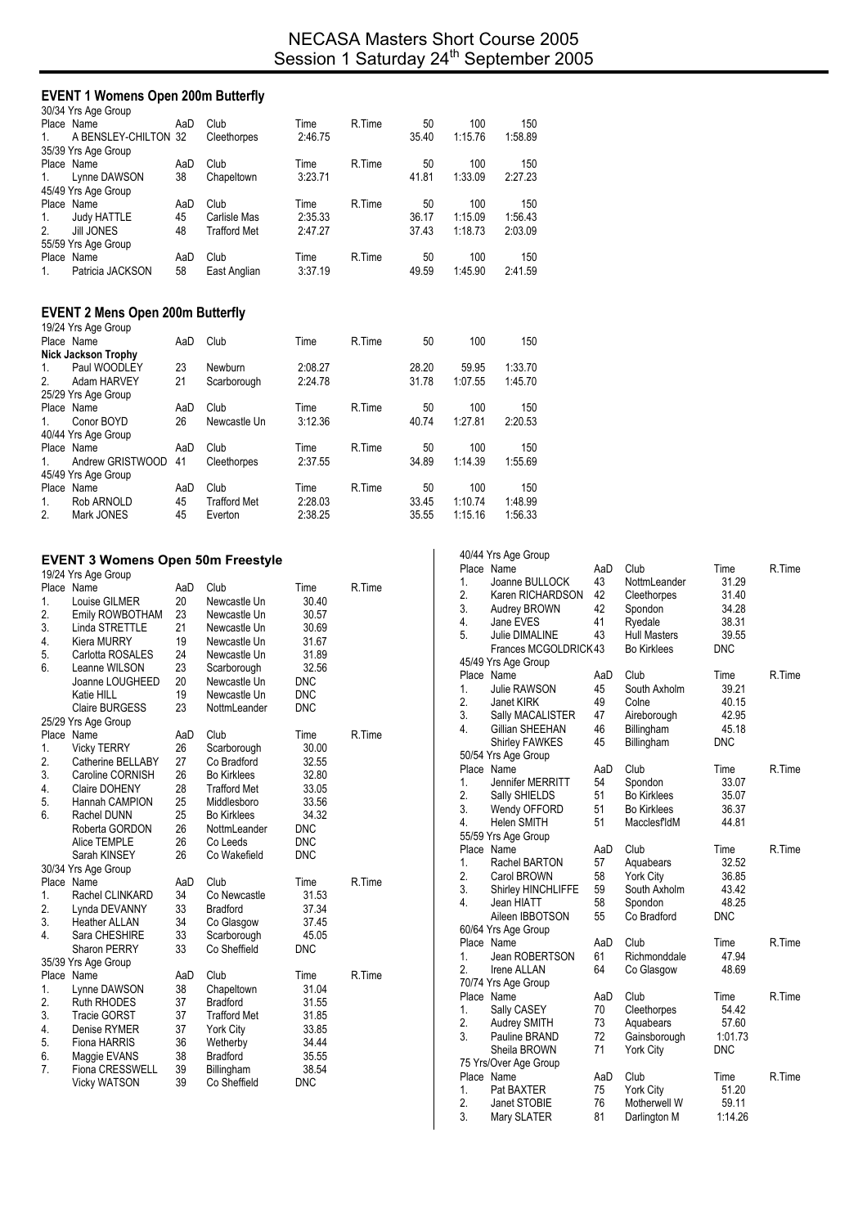# **EVENT 1 Womens Open 200m Butterfly**

|                | 30/34 Yrs Age Group  |     |                     |         |        |       |         |         |
|----------------|----------------------|-----|---------------------|---------|--------|-------|---------|---------|
|                | Place Name           | AaD | Club                | Time    | R.Time | 50    | 100     | 150     |
| 1.             | A BENSLEY-CHILTON 32 |     | Cleethorpes         | 2:46.75 |        | 35.40 | 1:15.76 | 1:58.89 |
|                | 35/39 Yrs Age Group  |     |                     |         |        |       |         |         |
|                | Place Name           | AaD | Club                | Time    | R.Time | 50    | 100     | 150     |
| $\mathbf{1}$ . | Lynne DAWSON         | 38  | Chapeltown          | 3:23.71 |        | 41.81 | 1:33.09 | 2:27.23 |
|                | 45/49 Yrs Age Group  |     |                     |         |        |       |         |         |
|                | Place Name           | AaD | Club                | Time    | R.Time | 50    | 100     | 150     |
| 1.             | <b>Judy HATTLE</b>   | 45  | Carlisle Mas        | 2:35.33 |        | 36.17 | 1:15.09 | 1:56.43 |
| 2 <sub>1</sub> | <b>Jill JONES</b>    | 48  | <b>Trafford Met</b> | 2:47.27 |        | 37.43 | 1:18.73 | 2:03.09 |
|                | 55/59 Yrs Age Group  |     |                     |         |        |       |         |         |
|                | Place Name           | AaD | Club                | Time    | R.Time | 50    | 100     | 150     |
| $\mathbf{1}$ . | Patricia JACKSON     | 58  | East Anglian        | 3:37.19 |        | 49.59 | 1:45.90 | 2:41.59 |
|                |                      |     |                     |         |        |       |         |         |

### **EVENT 2 Mens Open 200m Butterfly**

|         | 19/24 Yrs Age Group        |     |                     |         |        |       |         |         |
|---------|----------------------------|-----|---------------------|---------|--------|-------|---------|---------|
|         | Place Name                 | AaD | Club                | Time    | R.Time | 50    | 100     | 150     |
|         | <b>Nick Jackson Trophy</b> |     |                     |         |        |       |         |         |
| 1.      | Paul WOODLEY               | 23  | Newburn             | 2:08.27 |        | 28.20 | 59.95   | 1:33.70 |
| 2.      | Adam HARVEY                | 21  | Scarborough         | 2:24.78 |        | 31.78 | 1:07.55 | 1:45.70 |
|         | 25/29 Yrs Age Group        |     |                     |         |        |       |         |         |
|         | Place Name                 | AaD | Club                | Time    | R.Time | 50    | 100     | 150     |
| $1_{-}$ | Conor BOYD                 | 26  | Newcastle Un        | 3:12.36 |        | 40.74 | 1.27.81 | 2:20.53 |
|         | 40/44 Yrs Age Group        |     |                     |         |        |       |         |         |
|         | Place Name                 | AaD | Club                | Time    | R.Time | 50    | 100     | 150     |
| $1_{-}$ | Andrew GRISTWOOD           | 41  | Cleethorpes         | 2:37.55 |        | 34.89 | 1.14.39 | 1:55.69 |
|         | 45/49 Yrs Age Group        |     |                     |         |        |       |         |         |
|         | Place Name                 | AaD | Club                | Time    | R.Time | 50    | 100     | 150     |
| 1.      | Rob ARNOLD                 | 45  | <b>Trafford Met</b> | 2:28.03 |        | 33.45 | 1:10.74 | 1:48.99 |
| 2.      | Mark JONES                 | 45  | Everton             | 2:38.25 |        | 35.55 | 1:15.16 | 1:56.33 |

## **EVENT 3 Womens Open 50m Freestyle**

|    | 19/24 Yrs Age Group    |     |                     |            |        |
|----|------------------------|-----|---------------------|------------|--------|
|    | Place Name             | AaD | Club                | Time       | R.Time |
| 1. | Louise GILMER          | 20  | Newcastle Un        | 30.40      |        |
| 2. | Emily ROWBOTHAM        | 23  | Newcastle Un        | 30.57      |        |
| 3. | Linda STRETTLE         | 21  | Newcastle Un        | 30.69      |        |
| 4. | Kiera MURRY            | 19  | Newcastle Un        | 31.67      |        |
| 5. | Carlotta ROSALES       | 24  | Newcastle Un        | 31.89      |        |
| 6. | Leanne WILSON          | 23  | Scarborough         | 32.56      |        |
|    | Joanne LOUGHEED        | 20  | Newcastle Un        | <b>DNC</b> |        |
|    | Katie HILL             | 19  | Newcastle Un        | <b>DNC</b> |        |
|    | <b>Claire BURGESS</b>  | 23  | NottmLeander        | <b>DNC</b> |        |
|    | 25/29 Yrs Age Group    |     |                     |            |        |
|    | Place Name             | AaD | Club                | Time       | R.Time |
| 1. | <b>Vicky TERRY</b>     | 26  | Scarborough         | 30.00      |        |
| 2. | Catherine BELLABY      | 27  | Co Bradford         | 32.55      |        |
| 3. | Caroline CORNISH       | 26  | <b>Bo Kirklees</b>  | 32.80      |        |
| 4. | Claire DOHENY          | 28  | <b>Trafford Met</b> | 33.05      |        |
| 5. | Hannah CAMPION         | 25  | Middlesboro         | 33.56      |        |
| 6. | Rachel DUNN            | 25  | <b>Bo Kirklees</b>  | 34.32      |        |
|    | Roberta GORDON         | 26  | NottmLeander        | <b>DNC</b> |        |
|    | Alice TEMPLE           | 26  | Co Leeds            | <b>DNC</b> |        |
|    | Sarah KINSEY           | 26  | Co Wakefield        | <b>DNC</b> |        |
|    | 30/34 Yrs Age Group    |     |                     |            |        |
|    | Place Name             | AaD | Club                | Time       | R.Time |
| 1. | Rachel CLINKARD        | 34  | Co Newcastle        | 31.53      |        |
| 2. | Lynda DEVANNY          | 33  | <b>Bradford</b>     | 37.34      |        |
| 3. | <b>Heather ALLAN</b>   | 34  | Co Glasgow          | 37.45      |        |
| 4. | Sara CHESHIRE          | 33  | Scarborough         | 45.05      |        |
|    | <b>Sharon PERRY</b>    | 33  | Co Sheffield        | <b>DNC</b> |        |
|    | 35/39 Yrs Age Group    |     |                     |            |        |
|    | Place Name             | AaD | Club                | Time       | R.Time |
| 1. | Lynne DAWSON           | 38  | Chapeltown          | 31.04      |        |
| 2. | <b>Ruth RHODES</b>     | 37  | <b>Bradford</b>     | 31.55      |        |
| 3. | <b>Tracie GORST</b>    | 37  | <b>Trafford Met</b> | 31.85      |        |
| 4. | Denise RYMER           | 37  | <b>York City</b>    | 33.85      |        |
| 5. | Fiona HARRIS           | 36  | Wetherby            | 34.44      |        |
| 6. | Maggie EVANS           | 38  | <b>Bradford</b>     | 35.55      |        |
| 7. | <b>Fiona CRESSWELL</b> | 39  | Billingham          | 38.54      |        |
|    | <b>Vicky WATSON</b>    | 39  | Co Sheffield        | <b>DNC</b> |        |
|    |                        |     |                     |            |        |

|                  | 40/44 Yrs Age Group         |          |                     |                  |        |
|------------------|-----------------------------|----------|---------------------|------------------|--------|
|                  | Place Name                  | AaD      | Club                | Time             | R.Time |
| 1.               | Joanne BULLOCK              | 43       | NottmLeander        | 31.29            |        |
| 2.               | Karen RICHARDSON            | 42       | Cleethorpes         | 31.40            |        |
| 3.               | Audrey BROWN                | 42       | Spondon             | 34.28            |        |
| 4.               | Jane EVES                   | 41       | Ryedale             | 38.31            |        |
| 5.               | Julie DIMALINE              | 43       | <b>Hull Masters</b> | 39.55            |        |
|                  | Frances MCGOLDRICK43        |          | <b>Bo Kirklees</b>  | <b>DNC</b>       |        |
|                  | 45/49 Yrs Age Group         |          |                     |                  |        |
|                  | Place Name                  | AaD      | Club                | Time             | R.Time |
| 1.               | Julie RAWSON                | 45       | South Axholm        | 39.21            |        |
| 2.               | <b>Janet KIRK</b>           | 49       | Colne               | 40.15            |        |
| 3.               | Sally MACALISTER            | 47       | Aireborough         | 42.95            |        |
| 4.               | Gillian SHEEHAN             | 46       | Billingham          | 45.18            |        |
|                  | Shirley FAWKES              | 45       | Billingham          | <b>DNC</b>       |        |
|                  | 50/54 Yrs Age Group         |          |                     |                  |        |
|                  | Place Name                  | AaD      | Club                | Time             | R.Time |
| 1.               | Jennifer MERRITT            | 54       | Spondon             | 33.07            |        |
| 2.               | Sally SHIELDS               | 51       | <b>Bo Kirklees</b>  | 35.07            |        |
| 3.               | Wendy OFFORD                | 51       | <b>Bo Kirklees</b>  | 36.37            |        |
| 4.               | <b>Helen SMITH</b>          | 51       | MacclesfldM         | 44.81            |        |
|                  | 55/59 Yrs Age Group         |          |                     |                  |        |
|                  | Place Name                  | AaD      | Club                | Time             | R.Time |
| 1.               | Rachel BARTON               | 57       | Aquabears           | 32.52            |        |
| 2.               | Carol BROWN                 | 58       | <b>York City</b>    | 36.85            |        |
| 3.               | Shirley HINCHLIFFE          | 59       | South Axholm        | 43.42            |        |
| 4.               | Jean HIATT                  | 58       | Spondon             | 48.25            |        |
|                  | Aileen IBBOTSON             | 55       | Co Bradford         | <b>DNC</b>       |        |
|                  | 60/64 Yrs Age Group         |          |                     |                  |        |
|                  | Place Name                  | AaD      | Club                | Time             | R.Time |
| 1.               | Jean ROBERTSON              | 61       | Richmonddale        | 47.94            |        |
| $\overline{2}$ . | <b>Irene ALLAN</b>          | 64       | Co Glasgow          | 48.69            |        |
|                  | 70/74 Yrs Age Group         |          |                     |                  |        |
|                  | Place Name                  | AaD      | Club                | Time             | R.Time |
| 1.               | Sally CASEY                 | 70       | Cleethorpes         | 54.42            |        |
| 2.               | Audrey SMITH                | 73       | Aquabears           | 57.60            |        |
| 3.               | Pauline BRAND               | 72       | Gainsborough        | 1:01.73          |        |
|                  | Sheila BROWN                | 71       | <b>York City</b>    | <b>DNC</b>       |        |
|                  | 75 Yrs/Over Age Group       |          |                     |                  |        |
|                  |                             |          |                     |                  |        |
|                  | Place Name                  | AaD      | Club                | Time             | R.Time |
| 1.               | Pat BAXTER                  | 75       | York City           | 51.20            |        |
| 2.<br>3.         | Janet STOBIE<br>Mary SLATER | 76<br>81 | Motherwell W        | 59.11<br>1:14.26 |        |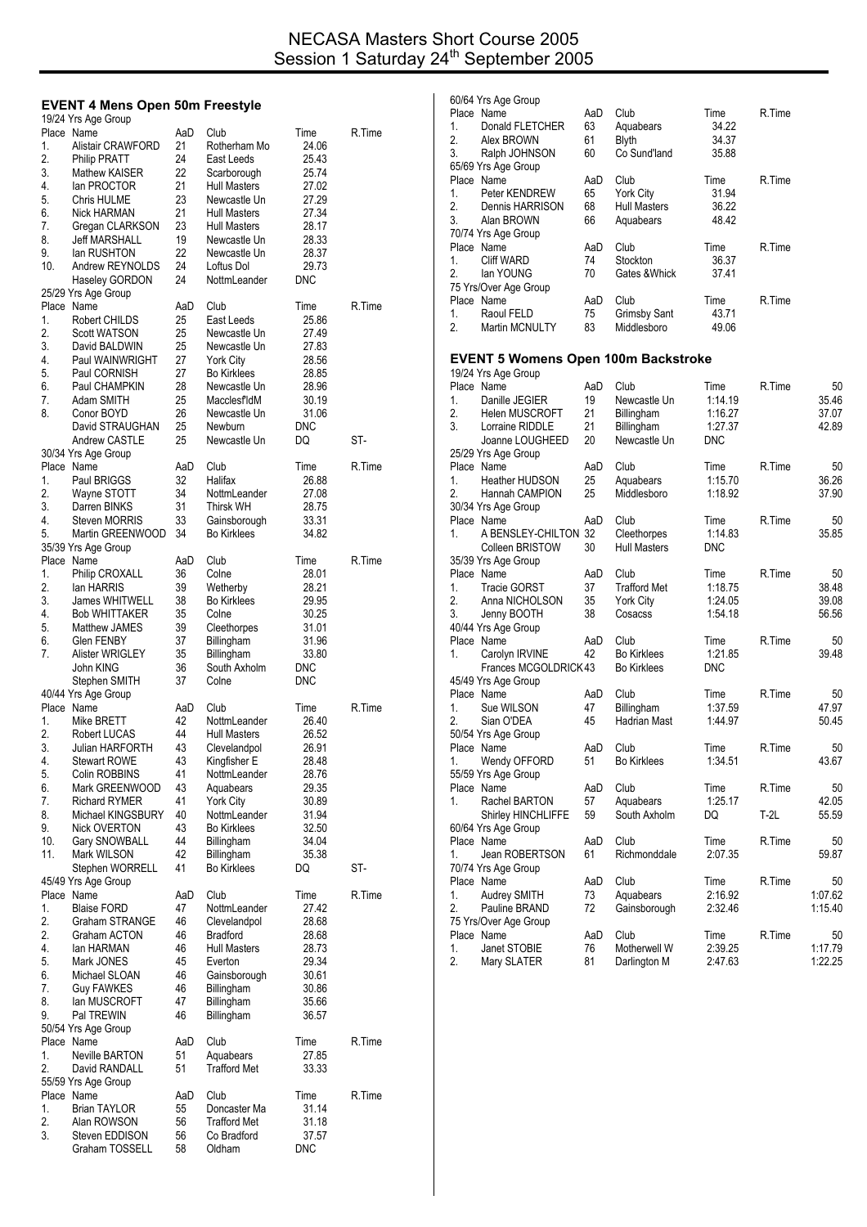## **EVENT 4 Mens Open 50m Freestyle**

|          | 19/24 Yrs Age Group                      |          |                                     |                  |        |
|----------|------------------------------------------|----------|-------------------------------------|------------------|--------|
|          | Place Name                               | AaD      | Club                                | Time             | R.Time |
| 1.<br>2. | Alistair CRAWFORD<br><b>Philip PRATT</b> | 21<br>24 | Rotherham Mo<br>East Leeds          | 24.06<br>25.43   |        |
| 3.       | Mathew KAISER                            | 22       | Scarborough                         | 25.74            |        |
| 4.       | lan PROCTOR                              | 21       | <b>Hull Masters</b>                 | 27.02            |        |
| 5.       | Chris HULME                              | 23       | Newcastle Un                        | 27.29            |        |
| 6.       | Nick HARMAN                              | 21       | <b>Hull Masters</b>                 | 27.34            |        |
| 7.       | Gregan CLARKSON                          | 23       | <b>Hull Masters</b>                 | 28.17            |        |
| 8.       | Jeff MARSHALL                            | 19       | Newcastle Un                        | 28.33            |        |
| 9.       | lan RUSHTON                              | 22       | Newcastle Un                        | 28.37            |        |
| 10.      | Andrew REYNOLDS                          | 24       | Loftus Dol                          | 29.73            |        |
|          | Haseley GORDON                           | 24       | NottmLeander                        | DNC              |        |
|          | 25/29 Yrs Age Group<br>Place Name        | AaD      | Club                                | Time             | R.Time |
| 1.       | Robert CHILDS                            | 25       | East Leeds                          | 25.86            |        |
| 2.       | <b>Scott WATSON</b>                      | 25       | Newcastle Un                        | 27.49            |        |
| 3.       | David BALDWIN                            | 25       | Newcastle Un                        | 27.83            |        |
| 4.       | Paul WAINWRIGHT                          | 27       | York City                           | 28.56            |        |
| 5.       | Paul CORNISH                             | 27       | <b>Bo Kirklees</b>                  | 28.85            |        |
| 6.       | Paul CHAMPKIN                            | 28       | Newcastle Un                        | 28.96            |        |
| 7.       | Adam SMITH                               | 25       | MacclesfldM                         | 30.19            |        |
| 8.       | Conor BOYD                               | 26       | Newcastle Un                        | 31.06            |        |
|          | David STRAUGHAN<br><b>Andrew CASTLE</b>  | 25<br>25 | Newburn<br>Newcastle Un             | <b>DNC</b><br>DQ | ST-    |
|          | 30/34 Yrs Age Group                      |          |                                     |                  |        |
|          | Place Name                               | AaD      | Club                                | Time             | R.Time |
| 1.       | Paul BRIGGS                              | 32       | Halifax                             | 26.88            |        |
| 2.       | Wayne STOTT                              | 34       | NottmLeander                        | 27.08            |        |
| 3.       | Darren BINKS                             | 31       | Thirsk WH                           | 28.75            |        |
| 4.       | Steven MORRIS                            | 33       | Gainsborough                        | 33.31            |        |
| 5.       | Martin GREENWOOD                         | 34       | <b>Bo Kirklees</b>                  | 34.82            |        |
|          | 35/39 Yrs Age Group                      |          |                                     |                  |        |
|          | Place Name                               | AaD      | Club                                | Time             | R.Time |
| 1.       | Philip CROXALL                           | 36       | Colne                               | 28.01            |        |
| 2.<br>3. | lan HARRIS<br>James WHITWELL             | 39<br>38 | Wetherby<br><b>Bo Kirklees</b>      | 28.21<br>29.95   |        |
| 4.       | <b>Bob WHITTAKER</b>                     | 35       | Colne                               | 30.25            |        |
| 5.       | Matthew JAMES                            | 39       | Cleethorpes                         | 31.01            |        |
| 6.       | Glen FENBY                               | 37       | Billingham                          | 31.96            |        |
| 7.       | Alister WRIGLEY                          | 35       | Billingham                          | 33.80            |        |
|          | John KING                                | 36       | South Axholm                        | DNC              |        |
|          | Stephen SMITH                            | 37       | Colne                               | <b>DNC</b>       |        |
|          | 40/44 Yrs Age Group                      |          |                                     |                  |        |
|          | Place Name                               | AaD      | Club                                | Time             | R.Time |
| 1.       | Mike BRETT                               | 42       | NottmLeander                        | 26.40            |        |
| 2.<br>3. | Robert LUCAS<br>Julian HARFORTH          | 44<br>43 | <b>Hull Masters</b><br>Clevelandpol | 26.52<br>26.91   |        |
| 4.       | <b>Stewart ROWE</b>                      | 43       | Kingfisher E                        | 28.48            |        |
| 5.       | Colin ROBBINS                            | 41       | NottmLeander                        | 28.76            |        |
| 6.       | Mark GREENWOOD                           | 43       | Aquabears                           | 29.35            |        |
| 7.       | <b>Richard RYMER</b>                     | 41       | York City                           | 30.89            |        |
| 8.       | Michael KINGSBURY                        | 40       | NottmLeander                        | 31.94            |        |
| 9.       | Nick OVERTON                             | 43       | Bo Kirklees                         | 32.50            |        |
| 10.      | Gary SNOWBALL                            | 44       | Billingham                          | 34.04            |        |
| 11.      | Mark WILSON                              | 42       | Billingham                          | 35.38            |        |
|          | Stephen WORRELL                          | 41       | <b>Bo Kirklees</b>                  | DQ               | ST-    |
|          | 45/49 Yrs Age Group<br>Place Name        | AaD      | Club                                | Time             | R.Time |
| 1.       | <b>Blaise FORD</b>                       | 47       | NottmLeander                        | 27.42            |        |
| 2.       | <b>Graham STRANGE</b>                    | 46       | Clevelandpol                        | 28.68            |        |
| 2.       | Graham ACTON                             | 46       | <b>Bradford</b>                     | 28.68            |        |
| 4.       | lan HARMAN                               | 46       | <b>Hull Masters</b>                 | 28.73            |        |
| 5.       | Mark JONES                               | 45       | Everton                             | 29.34            |        |
| 6.       | Michael SLOAN                            | 46       | Gainsborough                        | 30.61            |        |
| 7.       | <b>Guy FAWKES</b>                        | 46       | Billingham                          | 30.86            |        |
| 8.       | lan MUSCROFT                             | 47       | Billingham                          | 35.66            |        |
| 9.       | Pal TREWIN                               | 46       | Billingham                          | 36.57            |        |
|          | 50/54 Yrs Age Group<br>Place Name        | AaD      | Club                                | Time             | R.Time |
| 1.       | <b>Neville BARTON</b>                    | 51       | Aquabears                           | 27.85            |        |
| 2.       | David RANDALL                            | 51       | <b>Trafford Met</b>                 | 33.33            |        |
|          | 55/59 Yrs Age Group                      |          |                                     |                  |        |
|          | Place Name                               | AaD      | Club                                | Time             | R.Time |
| 1.       | <b>Brian TAYLOR</b>                      | 55       | Doncaster Ma                        | 31.14            |        |
| 2.       | Alan ROWSON                              | 56       | <b>Trafford Met</b>                 | 31.18            |        |
|          |                                          |          |                                     |                  |        |
| 3.       | Steven EDDISON<br>Graham TOSSELL         | 56<br>58 | Co Bradford<br>Oldham               | 37.57<br>DNC     |        |

|    | 60/64 Yrs Age Group                        |           |                             |                    |        |               |
|----|--------------------------------------------|-----------|-----------------------------|--------------------|--------|---------------|
|    | Place Name                                 | AaD       | Club                        | Time               | R.Time |               |
| 1. | Donald FLETCHER                            | 63        | Aquabears                   | 34.22              |        |               |
| 2. | Alex BROWN                                 | 61        | <b>Blyth</b>                | 34.37              |        |               |
| 3. | Ralph JOHNSON                              | 60        | Co Sund'land                | 35.88              |        |               |
|    | 65/69 Yrs Age Group                        |           |                             |                    |        |               |
|    | Place Name                                 | AaD       | Club                        | Time               | R.Time |               |
| 1. | Peter KENDREW                              | 65        | <b>York City</b>            | 31.94              |        |               |
| 2. | Dennis HARRISON                            | 68        | Hull Masters                | 36.22              |        |               |
| 3. | Alan BROWN                                 | 66        | Aquabears                   | 48.42              |        |               |
|    | 70/74 Yrs Age Group<br>Place Name          |           |                             |                    |        |               |
| 1. | <b>Cliff WARD</b>                          | AaD<br>74 | Club<br>Stockton            | Time<br>36.37      | R.Time |               |
| 2. | lan YOUNG                                  | 70        | Gates & Whick               | 37.41              |        |               |
|    | 75 Yrs/Over Age Group                      |           |                             |                    |        |               |
|    | Place Name                                 | AaD       | Club                        | Time               | R.Time |               |
| 1. | Raoul FELD                                 | 75        | <b>Grimsby Sant</b>         | 43.71              |        |               |
| 2. | Martin MCNULTY                             | 83        | Middlesboro                 | 49.06              |        |               |
|    |                                            |           |                             |                    |        |               |
|    | <b>EVENT 5 Womens Open 100m Backstroke</b> |           |                             |                    |        |               |
|    | 19/24 Yrs Age Group                        |           |                             |                    |        |               |
|    | Place Name                                 | AaD       | Club                        | Time               | R.Time | 50            |
| 1. | Danille JEGIER                             | 19        | Newcastle Un                | 1:14.19            |        | 35.46         |
| 2. | <b>Helen MUSCROFT</b>                      | 21        | Billingham                  | 1:16.27            |        | 37.07         |
| 3. | Lorraine RIDDLE                            | 21        | Billingham                  | 1:27.37            |        | 42.89         |
|    | Joanne LOUGHEED                            | 20        | Newcastle Un                | <b>DNC</b>         |        |               |
|    | 25/29 Yrs Age Group                        |           |                             |                    |        |               |
|    | Place Name                                 | AaD       | Club                        | Time               | R.Time | 50            |
| 1. | <b>Heather HUDSON</b>                      | 25        | Aquabears                   | 1:15.70            |        | 36.26         |
| 2. | Hannah CAMPION                             | 25        | Middlesboro                 | 1:18.92            |        | 37.90         |
|    | 30/34 Yrs Age Group                        |           |                             |                    |        |               |
|    | Place Name                                 | AaD       | Club                        | Time               | R.Time | 50            |
| 1. | A BENSLEY-CHILTON 32                       |           | Cleethorpes                 | 1:14.83            |        | 35.85         |
|    | <b>Colleen BRISTOW</b>                     | 30        | <b>Hull Masters</b>         | <b>DNC</b>         |        |               |
|    | 35/39 Yrs Age Group                        |           |                             |                    | R.Time |               |
| 1. | Place Name                                 | AaD<br>37 | Club<br><b>Trafford Met</b> | Time               |        | 50<br>38.48   |
| 2. | <b>Tracie GORST</b><br>Anna NICHOLSON      | 35        | York City                   | 1:18.75<br>1:24.05 |        | 39.08         |
| 3. | Jenny BOOTH                                | 38        | Cosacss                     | 1:54.18            |        | 56.56         |
|    | 40/44 Yrs Age Group                        |           |                             |                    |        |               |
|    | Place Name                                 | AaD       | Club                        | Time               | R.Time | 50            |
| 1. | Carolyn IRVINE                             | 42        | <b>Bo Kirklees</b>          | 1:21.85            |        | 39.48         |
|    | Frances MCGOLDRICK43                       |           | <b>Bo Kirklees</b>          | <b>DNC</b>         |        |               |
|    | 45/49 Yrs Age Group                        |           |                             |                    |        |               |
|    | Place Name                                 | AaD       | Club                        | Time               | R.Time | 50            |
| 1. | Sue WILSON                                 | 47        | Billingham                  | 1:37.59            |        | 47.97         |
| 2. | Sian O'DEA                                 | 45        | Hadrian Mast                | 1:44.97            |        | 50.45         |
|    | 50/54 Yrs Age Group                        |           |                             |                    |        |               |
|    | Place Name                                 | AaD       | Club                        | Time               | R.Time | 50            |
| 1. | Wendy OFFORD                               | 51        | <b>Bo Kirklees</b>          | 1:34.51            |        | 43.67         |
|    | 55/59 Yrs Age Group                        |           |                             |                    |        |               |
|    | Place Name                                 | AaD       | Club                        | Time               | R.Time | 50            |
| 1. | Rachel BARTON                              | 57        | Aquabears                   | 1:25.17            |        | 42.05         |
|    | <b>Shirley HINCHLIFFE</b>                  | 59        | South Axholm                | DQ                 | T-2L   | 55.59         |
|    | 60/64 Yrs Age Group                        |           |                             |                    |        |               |
|    | Place Name                                 | AaD       | Club                        | Time               | R.Time | 50            |
| 1. | Jean ROBERTSON                             | 61        | Richmonddale                | 2:07.35            |        | 59.87         |
|    | 70/74 Yrs Age Group                        |           |                             |                    |        |               |
|    | Place Name                                 | AaD       | Club                        | Time               | R.Time | 50            |
| 1. | <b>Audrey SMITH</b>                        | 73        | Aquabears                   | 2:16.92            |        | 1:07.62       |
| 2. | Pauline BRAND                              | 72        | Gainsborough                | 2:32.46            |        | 1:15.40       |
|    | 75 Yrs/Over Age Group                      |           |                             |                    |        |               |
| 1. | Place Name<br>Janet STOBIE                 | AaD<br>76 | Club<br>Motherwell W        | Time<br>2:39.25    | R.Time | 50<br>1:17.79 |
| 2. | Mary SLATER                                | 81        | Darlington M                | 2:47.63            |        | 1:22.25       |
|    |                                            |           |                             |                    |        |               |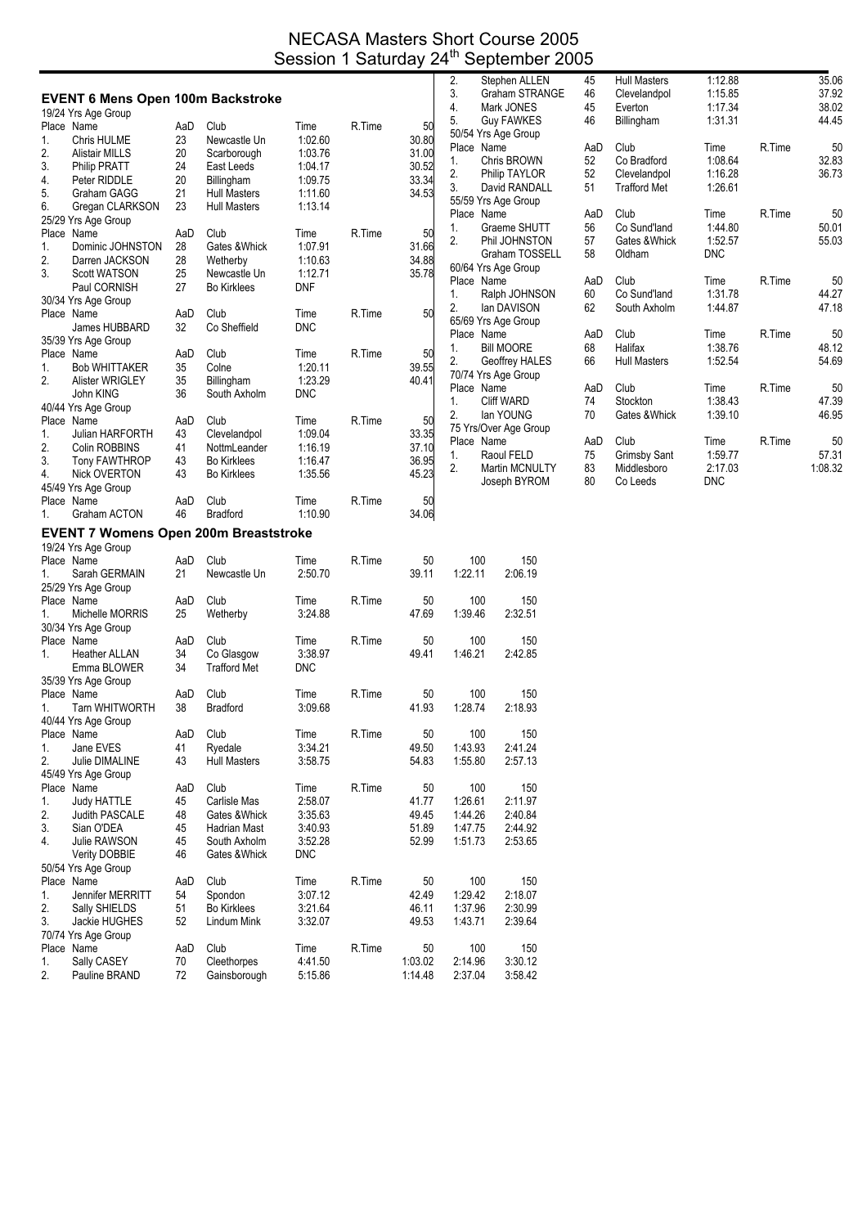## NECASA Masters Short Course 2005 Session 1 Saturday 24<sup>th</sup> September 2005

|    |                                              |     |                     |            |        |         | 2.         | Stephen ALLEN         | 45  | <b>Hull Masters</b> | 1:12.88    |        | 35.06   |
|----|----------------------------------------------|-----|---------------------|------------|--------|---------|------------|-----------------------|-----|---------------------|------------|--------|---------|
|    | <b>EVENT 6 Mens Open 100m Backstroke</b>     |     |                     |            |        |         | 3.         | Graham STRANGE        | 46  | Clevelandpol        | 1:15.85    |        | 37.92   |
|    | 19/24 Yrs Age Group                          |     |                     |            |        |         | 4.         | Mark JONES            | 45  | Everton             | 1:17.34    |        | 38.02   |
|    | Place Name                                   | AaD | Club                | Time       | R.Time | 50      | 5.         | <b>Guy FAWKES</b>     | 46  | Billingham          | 1:31.31    |        | 44.45   |
| 1. | Chris HULME                                  | 23  | Newcastle Un        | 1:02.60    |        | 30.80   |            | 50/54 Yrs Age Group   |     |                     |            |        |         |
| 2. | <b>Alistair MILLS</b>                        | 20  | Scarborough         | 1:03.76    |        | 31.00   | Place Name |                       | AaD | Club                | Time       | R.Time | 50      |
| 3. | <b>Philip PRATT</b>                          | 24  | East Leeds          | 1:04.17    |        | 30.52   | 1.         | Chris BROWN           | 52  | Co Bradford         | 1:08.64    |        | 32.83   |
| 4. | Peter RIDDLE                                 | 20  | <b>Billingham</b>   | 1:09.75    |        | 33.34   | 2.         | Philip TAYLOR         | 52  | Clevelandpol        | 1:16.28    |        | 36.73   |
| 5. | Graham GAGG                                  | 21  | <b>Hull Masters</b> | 1:11.60    |        | 34.53   | 3.         | David RANDALL         | 51  | <b>Trafford Met</b> | 1:26.61    |        |         |
| 6. | Gregan CLARKSON                              | 23  | <b>Hull Masters</b> | 1:13.14    |        |         |            | 55/59 Yrs Age Group   |     |                     |            |        |         |
|    | 25/29 Yrs Age Group                          |     |                     |            |        |         | Place Name |                       | AaD | Club                | Time       | R.Time | 50      |
|    | Place Name                                   | AaD | Club                | Time       | R.Time | 50      | 1.         | Graeme SHUTT          | 56  | Co Sund'land        | 1:44.80    |        | 50.01   |
| 1. | Dominic JOHNSTON                             | 28  | Gates & Whick       | 1:07.91    |        | 31.66   | 2.         | Phil JOHNSTON         | 57  | Gates & Whick       | 1:52.57    |        | 55.03   |
| 2. | Darren JACKSON                               | 28  | Wetherby            | 1:10.63    |        | 34.88   |            | Graham TOSSELL        | 58  | Oldham              | <b>DNC</b> |        |         |
| 3. | <b>Scott WATSON</b>                          | 25  | Newcastle Un        | 1:12.71    |        | 35.78   |            | 60/64 Yrs Age Group   |     |                     |            |        |         |
|    | Paul CORNISH                                 | 27  | <b>Bo Kirklees</b>  | DNF        |        |         | Place Name |                       | AaD | Club                | Time       | R.Time | 50      |
|    | 30/34 Yrs Age Group                          |     |                     |            |        |         | 1.         | Ralph JOHNSON         | 60  | Co Sund'land        | 1:31.78    |        | 44.27   |
|    | Place Name                                   | AaD | Club                | Time       | R.Time | 50      | 2.         | lan DAVISON           | 62  | South Axholm        | 1.44.87    |        | 47.18   |
|    | James HUBBARD                                | 32  | Co Sheffield        | <b>DNC</b> |        |         |            | 65/69 Yrs Age Group   |     |                     |            |        |         |
|    |                                              |     |                     |            |        |         | Place Name |                       | AaD | Club                | Time       | R.Time | 50      |
|    | 35/39 Yrs Age Group                          |     |                     |            |        |         | 1.         | <b>Bill MOORE</b>     | 68  | Halifax             | 1:38.76    |        | 48.12   |
|    | Place Name                                   | AaD | Club                | Time       | R.Time | 50      | 2.         | Geoffrey HALES        | 66  | <b>Hull Masters</b> | 1:52.54    |        | 54.69   |
| 1. | <b>Bob WHITTAKER</b>                         | 35  | Colne               | 1:20.11    |        | 39.55   |            | 70/74 Yrs Age Group   |     |                     |            |        |         |
| 2. | Alister WRIGLEY                              | 35  | Billingham          | 1:23.29    |        | 40.41   | Place Name |                       | AaD | Club                | Time       | R.Time | 50      |
|    | John KING                                    | 36  | South Axholm        | <b>DNC</b> |        |         | 1.         | <b>Cliff WARD</b>     | 74  | Stockton            | 1:38.43    |        | 47.39   |
|    | 40/44 Yrs Age Group                          |     |                     |            |        |         | 2.         | lan YOUNG             | 70  | Gates & Whick       | 1:39.10    |        | 46.95   |
|    | Place Name                                   | AaD | Club                | Time       | R.Time | 50      |            | 75 Yrs/Over Age Group |     |                     |            |        |         |
| 1. | Julian HARFORTH                              | 43  | Clevelandpol        | 1:09.04    |        | 33.35   | Place Name |                       | AaD | Club                | Time       | R.Time | 50      |
| 2. | Colin ROBBINS                                | 41  | NottmLeander        | 1:16.19    |        | 37.10   | 1.         | Raoul FELD            | 75  | <b>Grimsby Sant</b> | 1:59.77    |        | 57.31   |
| 3. | <b>Tony FAWTHROP</b>                         | 43  | <b>Bo Kirklees</b>  | 1.16.47    |        | 36.95   | 2.         | Martin MCNULTY        | 83  | Middlesboro         | 2:17.03    |        | 1:08.32 |
| 4. | <b>Nick OVERTON</b>                          | 43  | <b>Bo Kirklees</b>  | 1:35.56    |        | 45.23   |            | Joseph BYROM          | 80  | Co Leeds            | <b>DNC</b> |        |         |
|    | 45/49 Yrs Age Group                          |     |                     |            |        |         |            |                       |     |                     |            |        |         |
|    | Place Name                                   | AaD | Club                | Time       | R.Time | 50      |            |                       |     |                     |            |        |         |
| 1. | Graham ACTON                                 | 46  | <b>Bradford</b>     | 1:10.90    |        | 34.06   |            |                       |     |                     |            |        |         |
|    | <b>EVENT 7 Womens Open 200m Breaststroke</b> |     |                     |            |        |         |            |                       |     |                     |            |        |         |
|    | 19/24 Yrs Age Group                          |     |                     |            |        |         |            |                       |     |                     |            |        |         |
|    | Place Name                                   | AaD | Club                | Time       | R.Time | 50      | 100        | 150                   |     |                     |            |        |         |
| 1. | Sarah GERMAIN                                | 21  | Newcastle Un        | 2:50.70    |        | 39.11   | 1:22.11    | 2:06.19               |     |                     |            |        |         |
|    | 25/29 Yrs Age Group                          |     |                     |            |        |         |            |                       |     |                     |            |        |         |
|    | Place Name                                   | AaD | Club                | Time       | R.Time | 50      | 100        | 150                   |     |                     |            |        |         |
| 1. | Michelle MORRIS                              | 25  | Wetherby            | 3:24.88    |        | 47.69   | 1:39.46    | 2:32.51               |     |                     |            |        |         |
|    | 30/34 Yrs Age Group                          |     |                     |            |        |         |            |                       |     |                     |            |        |         |
|    | Place Name                                   | AaD | Club                | Time       | R.Time | 50      | 100        | 150                   |     |                     |            |        |         |
| 1. | <b>Heather ALLAN</b>                         | 34  | Co Glasgow          | 3:38.97    |        | 49.41   | 1:46.21    | 2:42.85               |     |                     |            |        |         |
|    | Emma BLOWER                                  | 34  | <b>Trafford Met</b> | <b>DNC</b> |        |         |            |                       |     |                     |            |        |         |
|    | 35/39 Yrs Age Group                          |     |                     |            |        |         |            |                       |     |                     |            |        |         |
|    | Place Name                                   | AaD | Club                | Time       | R.Time | 50      | 100        | 150                   |     |                     |            |        |         |
| 1. | <b>Tarn WHITWORTH</b>                        | 38  | <b>Bradford</b>     | 3:09.68    |        | 41.93   | 1:28.74    | 2:18.93               |     |                     |            |        |         |
|    | 40/44 Yrs Age Group                          |     |                     |            |        |         |            |                       |     |                     |            |        |         |
|    | Place Name                                   | AaD | Club                | Time       | R.Time | 50      | 100        | 150                   |     |                     |            |        |         |
| 1. |                                              | 41  | Ryedale             | 3:34.21    |        | 49.50   | 1:43.93    | 2:41.24               |     |                     |            |        |         |
|    | Jane EVES                                    |     |                     |            |        |         |            |                       |     |                     |            |        |         |
| 2. | Julie DIMALINE                               | 43  | <b>Hull Masters</b> | 3:58.75    |        | 54.83   | 1:55.80    | 2:57.13               |     |                     |            |        |         |
|    | 45/49 Yrs Age Group                          |     |                     |            |        |         |            |                       |     |                     |            |        |         |
|    | Place Name                                   | AaD | Club                | Time       | R.Time | 50      | 100        | 150                   |     |                     |            |        |         |
| 1. | <b>Judy HATTLE</b>                           | 45  | Carlisle Mas        | 2:58.07    |        | 41.77   | 1:26.61    | 2:11.97               |     |                     |            |        |         |
| 2. | Judith PASCALE                               | 48  | Gates & Whick       | 3:35.63    |        | 49.45   | 1.44.26    | 2:40.84               |     |                     |            |        |         |
| 3. | Sian O'DEA                                   | 45  | Hadrian Mast        | 3:40.93    |        | 51.89   | 1.47.75    | 2.44.92               |     |                     |            |        |         |
| 4. | Julie RAWSON                                 | 45  | South Axholm        | 3:52.28    |        | 52.99   | 1:51.73    | 2:53.65               |     |                     |            |        |         |
|    | <b>Verity DOBBIE</b>                         | 46  | Gates & Whick       | <b>DNC</b> |        |         |            |                       |     |                     |            |        |         |
|    | 50/54 Yrs Age Group                          |     |                     |            |        |         |            |                       |     |                     |            |        |         |
|    | Place Name                                   | AaD | Club                | Time       | R.Time | 50      | 100        | 150                   |     |                     |            |        |         |
| 1. | Jennifer MERRITT                             | 54  | Spondon             | 3:07.12    |        | 42.49   | 1:29.42    | 2:18.07               |     |                     |            |        |         |
| 2. | Sally SHIELDS                                | 51  | <b>Bo Kirklees</b>  | 3:21.64    |        | 46.11   | 1:37.96    | 2:30.99               |     |                     |            |        |         |
| 3. | Jackie HUGHES                                | 52  | Lindum Mink         | 3:32.07    |        | 49.53   | 1:43.71    | 2:39.64               |     |                     |            |        |         |
|    | 70/74 Yrs Age Group                          |     |                     |            |        |         |            |                       |     |                     |            |        |         |
|    | Place Name                                   | AaD | Club                | Time       | R.Time | 50      | 100        | 150                   |     |                     |            |        |         |
| 1. | Sally CASEY                                  | 70  | Cleethorpes         | 4:41.50    |        | 1:03.02 | 2:14.96    | 3:30.12               |     |                     |            |        |         |
| 2. | Pauline BRAND                                | 72  | Gainsborough        | 5:15.86    |        | 1:14.48 | 2:37.04    | 3:58.42               |     |                     |            |        |         |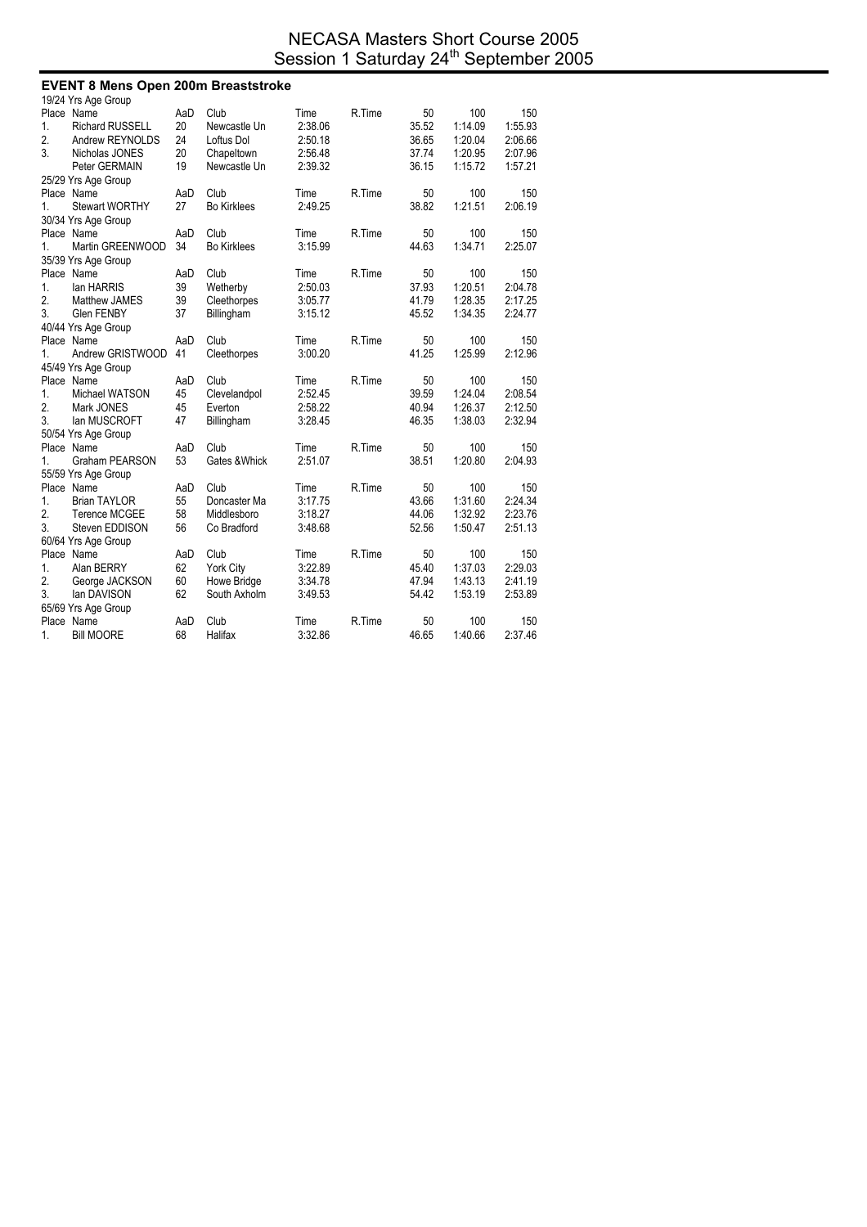## NECASA Masters Short Course 2005 Session 1 Saturday 24<sup>th</sup> September 2005

| <b>EVENT 8 Mens Open 200m Breaststroke</b> |                        |     |                    |         |        |       |         |         |  |  |
|--------------------------------------------|------------------------|-----|--------------------|---------|--------|-------|---------|---------|--|--|
|                                            | 19/24 Yrs Age Group    |     |                    |         |        |       |         |         |  |  |
|                                            | Place Name             | AaD | Club               | Time    | R.Time | 50    | 100     | 150     |  |  |
| 1.                                         | <b>Richard RUSSELL</b> | 20  | Newcastle Un       | 2:38.06 |        | 35.52 | 1:14.09 | 1.55.93 |  |  |
| 2.                                         | Andrew REYNOLDS        | 24  | Loftus Dol         | 2:50.18 |        | 36.65 | 1:20.04 | 2:06.66 |  |  |
| 3.                                         | Nicholas JONES         | 20  | Chapeltown         | 2:56.48 |        | 37.74 | 1:20.95 | 2:07.96 |  |  |
|                                            | Peter GERMAIN          | 19  | Newcastle Un       | 2:39.32 |        | 36.15 | 1:15.72 | 1:57.21 |  |  |
|                                            | 25/29 Yrs Age Group    |     |                    |         |        |       |         |         |  |  |
|                                            | Place Name             | AaD | Club               | Time    | R.Time | 50    | 100     | 150     |  |  |
| 1.                                         | <b>Stewart WORTHY</b>  | 27  | <b>Bo Kirklees</b> | 2:49.25 |        | 38.82 | 1:21.51 | 2:06.19 |  |  |
|                                            | 30/34 Yrs Age Group    |     |                    |         |        |       |         |         |  |  |
|                                            | Place Name             | AaD | Club               | Time    | R.Time | 50    | 100     | 150     |  |  |
| 1.                                         | Martin GREENWOOD       | 34  | <b>Bo Kirklees</b> | 3:15.99 |        | 44.63 | 1:34.71 | 2:25.07 |  |  |
|                                            | 35/39 Yrs Age Group    |     |                    |         |        |       |         |         |  |  |
|                                            | Place Name             | AaD | Club               | Time    | R.Time | 50    | 100     | 150     |  |  |
| 1.                                         | lan HARRIS             | 39  | Wetherby           | 2:50.03 |        | 37.93 | 1:20.51 | 2:04.78 |  |  |
| 2.                                         | Matthew JAMES          | 39  | Cleethorpes        | 3:05.77 |        | 41.79 | 1:28.35 | 2:17.25 |  |  |
| 3.                                         | Glen FENBY             | 37  | Billingham         | 3:15.12 |        | 45.52 | 1:34.35 | 2:24.77 |  |  |
|                                            | 40/44 Yrs Age Group    |     |                    |         |        |       |         |         |  |  |
|                                            | Place Name             | AaD | Club               | Time    | R.Time | 50    | 100     | 150     |  |  |
| 1.                                         | Andrew GRISTWOOD       | 41  | Cleethorpes        | 3:00.20 |        | 41.25 | 1:25.99 | 2:12.96 |  |  |
|                                            | 45/49 Yrs Age Group    |     |                    |         |        |       |         |         |  |  |
|                                            | Place Name             | AaD | Club               | Time    | R.Time | 50    | 100     | 150     |  |  |
| 1.                                         | Michael WATSON         | 45  | Clevelandpol       | 2:52.45 |        | 39.59 | 1:24.04 | 2:08.54 |  |  |
| 2.                                         | Mark JONES             | 45  | Everton            | 2:58.22 |        | 40.94 | 1:26.37 | 2:12.50 |  |  |
| 3.                                         | lan MUSCROFT           | 47  | Billingham         | 3:28.45 |        | 46.35 | 1:38.03 | 2:32.94 |  |  |
|                                            | 50/54 Yrs Age Group    |     |                    |         |        |       |         |         |  |  |
|                                            | Place Name             | AaD | Club               | Time    | R.Time | 50    | 100     | 150     |  |  |
| 1.                                         | Graham PEARSON         | 53  | Gates & Whick      | 2:51.07 |        | 38.51 | 1:20.80 | 2:04.93 |  |  |
|                                            | 55/59 Yrs Age Group    |     |                    |         |        |       |         |         |  |  |
|                                            | Place Name             | AaD | Club               | Time    | R.Time | 50    | 100     | 150     |  |  |
| 1.                                         | <b>Brian TAYLOR</b>    | 55  | Doncaster Ma       | 3:17.75 |        | 43.66 | 1:31.60 | 2:24.34 |  |  |
| 2.                                         | <b>Terence MCGEE</b>   | 58  | Middlesboro        | 3:18.27 |        | 44.06 | 1:32.92 | 2:23.76 |  |  |
| 3.                                         | Steven EDDISON         | 56  | Co Bradford        | 3:48.68 |        | 52.56 | 1:50.47 | 2:51.13 |  |  |
|                                            | 60/64 Yrs Age Group    |     |                    |         |        |       |         |         |  |  |
|                                            | Place Name             | AaD | Club               | Time    | R.Time | 50    | 100     | 150     |  |  |
| 1.                                         | Alan BERRY             | 62  | <b>York City</b>   | 3:22.89 |        | 45.40 | 1:37.03 | 2:29.03 |  |  |
| 2.                                         | George JACKSON         | 60  | Howe Bridge        | 3:34.78 |        | 47.94 | 1:43.13 | 2:41.19 |  |  |
| 3.                                         | lan DAVISON            | 62  | South Axholm       | 3:49.53 |        | 54.42 | 1:53.19 | 2:53.89 |  |  |
|                                            | 65/69 Yrs Age Group    |     |                    |         |        |       |         |         |  |  |
|                                            | Place Name             | AaD | Club               | Time    | R.Time | 50    | 100     | 150     |  |  |
| 1.                                         | <b>Bill MOORE</b>      | 68  | Halifax            | 3:32.86 |        | 46.65 | 1:40.66 | 2:37.46 |  |  |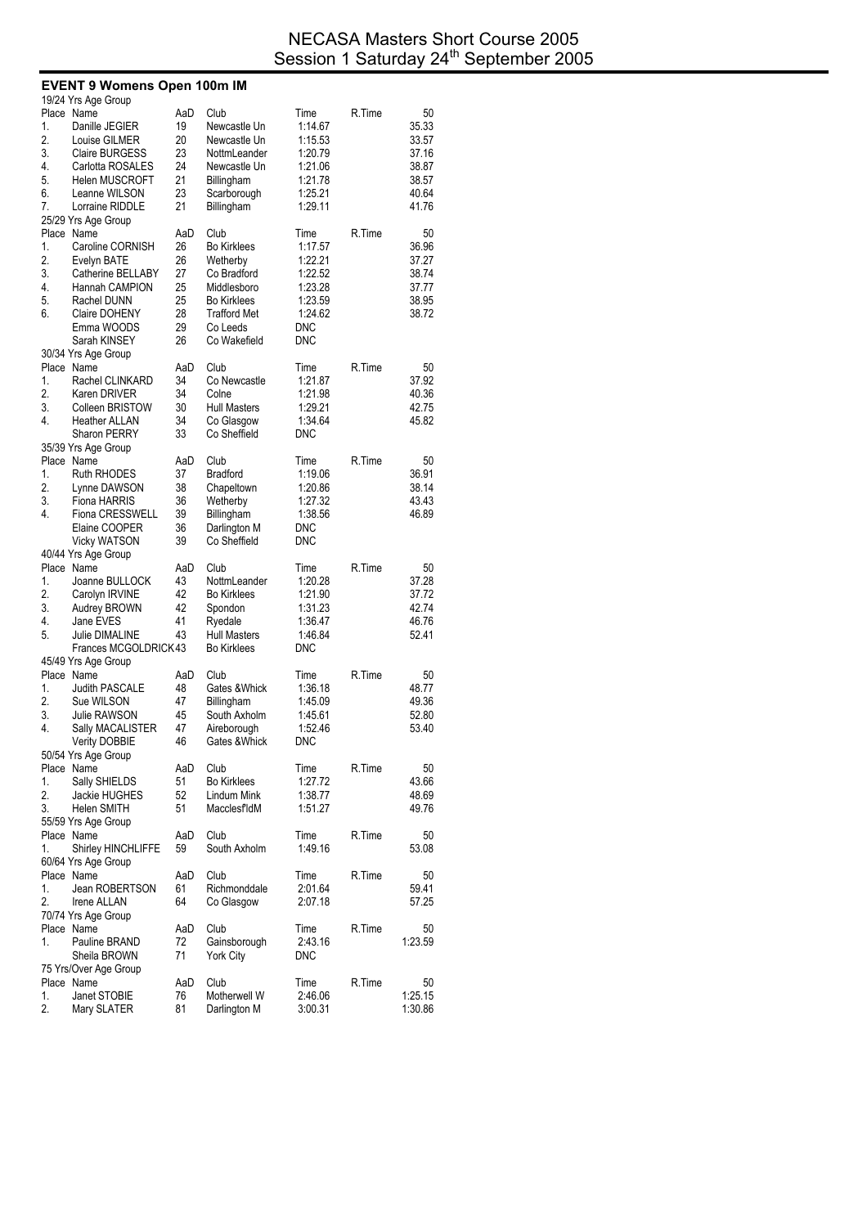|          | <b>EVENT 9 Womens Open 100m IM</b>          |          |                     |                       |        |                |
|----------|---------------------------------------------|----------|---------------------|-----------------------|--------|----------------|
|          | 19/24 Yrs Age Group                         |          |                     |                       |        |                |
|          | Place Name                                  | AaD      | Club                | Time                  | R.Time | 50             |
| 1.       | Danille JEGIER                              | 19       | Newcastle Un        | 1:14.67               |        | 35.33          |
| 2.       | Louise GILMER                               | 20       | Newcastle Un        | 1:15.53               |        | 33.57          |
| 3.       | <b>Claire BURGESS</b>                       | 23       | NottmLeander        | 1:20.79               |        | 37.16          |
| 4.       | Carlotta ROSALES                            | 24       | Newcastle Un        | 1:21.06               |        | 38.87          |
| 5.       | <b>Helen MUSCROFT</b>                       | 21       | Billingham          | 1:21.78               |        | 38.57          |
| 6.       | Leanne WILSON                               | 23       | Scarborough         | 1:25.21               |        | 40.64          |
| 7.       | Lorraine RIDDLE                             | 21       | Billingham          | 1:29.11               |        | 41.76          |
|          | 25/29 Yrs Age Group                         |          |                     |                       |        |                |
|          | Place Name                                  | AaD      | Club                | Time                  | R.Time | 50             |
| 1.       | Caroline CORNISH                            | 26       | <b>Bo Kirklees</b>  | 1:17.57               |        | 36.96          |
| 2.       | Evelyn BATE                                 | 26       | Wetherby            | 1:22.21               |        | 37.27          |
| 3.       | Catherine BELLABY                           | 27       | Co Bradford         | 1:22.52               |        | 38.74          |
| 4.       | Hannah CAMPION                              | 25       | Middlesboro         | 1:23.28               |        | 37.77          |
| 5.       | Rachel DUNN                                 | 25       | <b>Bo Kirklees</b>  | 1:23.59               |        | 38.95          |
| 6.       | Claire DOHENY                               | 28       | <b>Trafford Met</b> | 1:24.62               |        | 38.72          |
|          | Emma WOODS                                  | 29       | Co Leeds            | DNC                   |        |                |
|          | Sarah KINSEY                                | 26       | Co Wakefield        | DNC                   |        |                |
|          | 30/34 Yrs Age Group                         |          |                     |                       |        |                |
|          | Place Name                                  | AaD      | Club                | Time                  | R.Time | 50             |
| 1.       | Rachel CLINKARD                             | 34       | Co Newcastle        | 1:21.87               |        | 37.92          |
| 2.       | Karen DRIVER                                | 34       | Colne               | 1:21.98               |        | 40.36          |
| 3.       | <b>Colleen BRISTOW</b>                      | 30       | <b>Hull Masters</b> | 1:29.21               |        | 42.75          |
| 4.       | Heather ALLAN                               | 34       | Co Glasgow          | 1:34.64               |        | 45.82          |
|          | <b>Sharon PERRY</b>                         | 33       | Co Sheffield        | DNC                   |        |                |
|          | 35/39 Yrs Age Group                         |          |                     |                       |        |                |
|          | Place Name                                  | AaD      | Club                | Time                  | R.Time | 50             |
| 1.       | <b>Ruth RHODES</b>                          | 37       | <b>Bradford</b>     | 1:19.06               |        | 36.91          |
| 2.       | Lynne DAWSON                                | 38       | Chapeltown          | 1:20.86               |        | 38.14          |
| 3.       | Fiona HARRIS                                | 36       | Wetherby            | 1:27.32               |        | 43.43          |
| 4.       | Fiona CRESSWELL                             | 39       | Billingham          | 1:38.56               |        | 46.89          |
|          | Elaine COOPER                               | 36       | Darlington M        | DNC                   |        |                |
|          | <b>Vicky WATSON</b>                         | 39       | Co Sheffield        | DNC                   |        |                |
|          | 40/44 Yrs Age Group                         |          |                     |                       |        |                |
|          | Place Name                                  | AaD      | Club                | Time                  | R.Time | 50             |
| 1.       | Joanne BULLOCK                              | 43       | NottmLeander        | 1:20.28               |        | 37.28          |
| 2.       | Carolyn IRVINE                              | 42       | <b>Bo Kirklees</b>  | 1:21.90               |        | 37.72          |
| 3.       | Audrey BROWN                                | 42       | Spondon             | 1:31.23               |        | 42.74          |
| 4.       | Jane EVES                                   | 41       | Ryedale             | 1:36.47               |        | 46.76          |
| 5.       | <b>Julie DIMALINE</b>                       | 43       | <b>Hull Masters</b> | 1:46.84               |        | 52.41          |
|          | Frances MCGOLDRICK43                        |          | <b>Bo Kirklees</b>  | DNC                   |        |                |
|          | 45/49 Yrs Age Group                         |          |                     |                       |        |                |
|          | Place Name                                  | AaD      | Club                | Time                  | R.Time | 50             |
| 1.<br>2. | Judith PASCALE                              | 48       | Gates & Whick       | 1:36.18               |        | 48.77<br>49.36 |
| 3.       | Sue WILSON                                  | 47<br>45 | Billingham          | 1:45.09<br>1:45.61    |        |                |
|          | Julie RAWSON                                | 47       | South Axholm        |                       |        | 52.80          |
| 4.       | Sally MACALISTER                            | 46       | Aireborough         | 1:52.46<br><b>DNC</b> |        | 53.40          |
|          | <b>Verity DOBBIE</b><br>50/54 Yrs Age Group |          | Gates &Whick        |                       |        |                |
|          | Place Name                                  | AaD      | Club                | Time                  | R.Time | 50             |
| 1.       | Sally SHIELDS                               | 51       | <b>Bo Kirklees</b>  | 1:27.72               |        | 43.66          |
| 2.       | Jackie HUGHES                               | 52       | Lindum Mink         | 1:38.77               |        | 48.69          |
| 3.       | <b>Helen SMITH</b>                          | 51       | MacclesfldM         | 1:51.27               |        | 49.76          |
|          | 55/59 Yrs Age Group                         |          |                     |                       |        |                |
|          | Place Name                                  | AaD      | Club                | Time                  | R.Time | 50             |
| 1.       | Shirley HINCHLIFFE                          | 59       | South Axholm        | 1:49.16               |        | 53.08          |
|          | 60/64 Yrs Age Group                         |          |                     |                       |        |                |
|          | Place Name                                  | AaD      | Club                | Time                  | R.Time | 50             |
| 1.       | Jean ROBERTSON                              | 61       | Richmonddale        | 2:01.64               |        | 59.41          |
| 2.       | Irene ALLAN                                 | 64       | Co Glasgow          | 2:07.18               |        | 57.25          |
|          | 70/74 Yrs Age Group                         |          |                     |                       |        |                |
|          | Place Name                                  | AaD      | Club                | Time                  | R.Time | 50             |
| 1.       | Pauline BRAND                               | 72       | Gainsborough        | 2:43.16               |        | 1:23.59        |
|          | Sheila BROWN                                | 71       | <b>York City</b>    | <b>DNC</b>            |        |                |
|          | 75 Yrs/Over Age Group                       |          |                     |                       |        |                |
|          | Place Name                                  | AaD      | Club                | Time                  | R.Time | 50             |
| 1.       | Janet STOBIE                                | 76       | Motherwell W        | 2:46.06               |        | 1:25.15        |
| 2.       | Mary SLATER                                 | 81       | Darlington M        | 3:00.31               |        | 1:30.86        |
|          |                                             |          |                     |                       |        |                |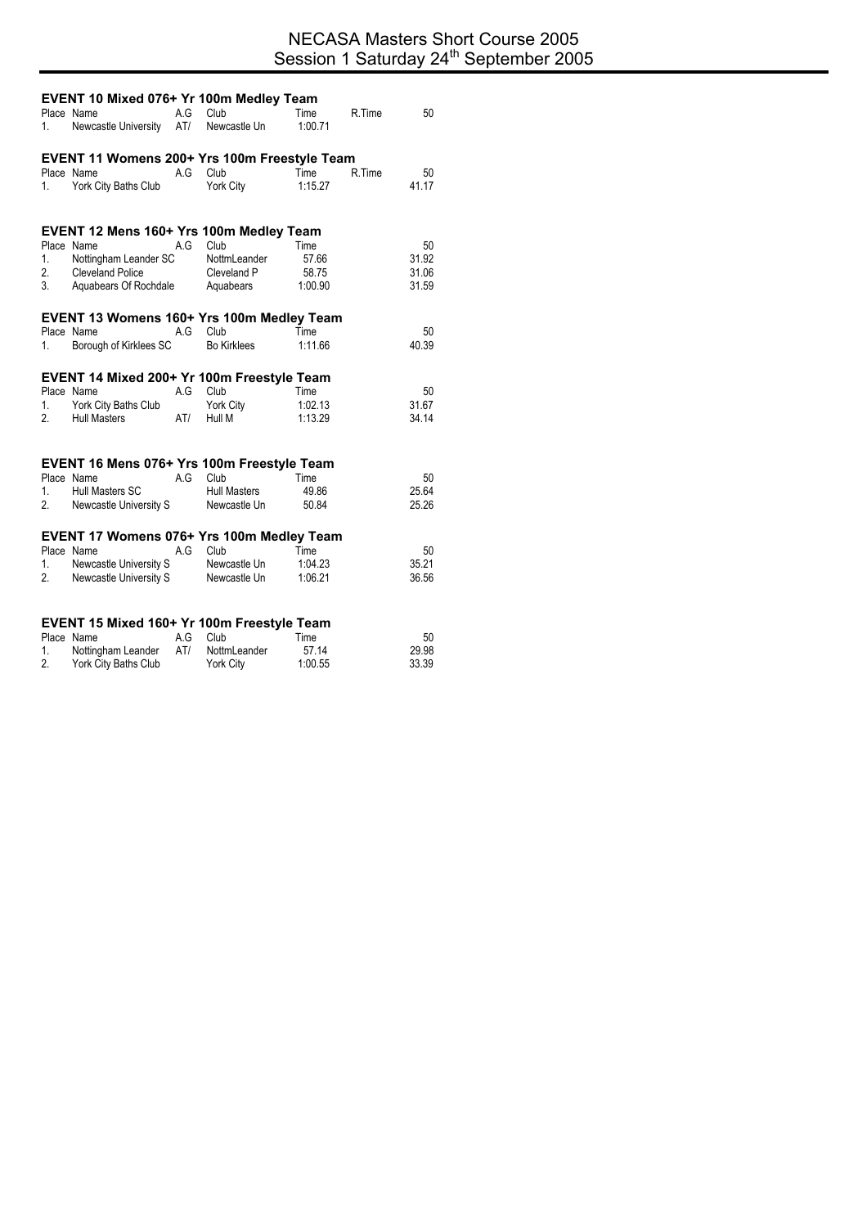|                   | EVENT 10 Mixed 076+ Yr 100m Medley Team      |            |                          |                 |        |                |
|-------------------|----------------------------------------------|------------|--------------------------|-----------------|--------|----------------|
| 1.                | Place Name<br>Newcastle University           | A.G<br>AT/ | Club<br>Newcastle Un     | Time<br>1:00.71 | R.Time | 50             |
|                   | EVENT 11 Womens 200+ Yrs 100m Freestyle Team |            |                          |                 |        |                |
| 1. $\blacksquare$ | Place Name<br>York City Baths Club           | A.G        | Club<br>York City        | Time<br>1:15.27 | R.Time | 50<br>41.17    |
|                   | EVENT 12 Mens 160+ Yrs 100m Medley Team      |            |                          |                 |        |                |
|                   | Place Name                                   | A.G        | Club                     | Time            |        | 50             |
| 1.                | Nottingham Leander SC                        |            | NottmLeander             | 57.66           |        | 31.92          |
|                   | 2. Cleveland Police                          |            | Cleveland P<br>Aquabears | 58.75           |        | 31.06          |
| 3.                | Aquabears Of Rochdale                        |            |                          | 1:00.90         |        | 31.59          |
|                   | EVENT 13 Womens 160+ Yrs 100m Medley Team    |            |                          |                 |        |                |
|                   | Place Name                                   | A.G        | Club                     | Time            |        | 50             |
| 1.                | Borough of Kirklees SC                       |            | <b>Bo Kirklees</b>       | 1:11.66         |        | 40.39          |
|                   | EVENT 14 Mixed 200+ Yr 100m Freestyle Team   |            |                          |                 |        |                |
|                   | Place Name                                   | A.G        | Club                     | Time            |        | 50             |
|                   | 1. York City Baths Club                      |            | York City                | 1:02.13         |        | 31.67          |
| 2.                | <b>Hull Masters</b>                          | AT/        | Hull M                   | 1:13.29         |        | 34.14          |
|                   |                                              |            |                          |                 |        |                |
|                   | EVENT 16 Mens 076+ Yrs 100m Freestyle Team   |            |                          |                 |        |                |
|                   | Place Name                                   | A.G        | Club                     | Time            |        | 50             |
| 1.<br>2.          | Hull Masters SC<br>Newcastle University S    |            | <b>Hull Masters</b>      | 49.86           |        | 25.64<br>25.26 |
|                   |                                              |            | Newcastle Un             | 50.84           |        |                |
|                   | EVENT 17 Womens 076+ Yrs 100m Medley Team    |            |                          |                 |        |                |
|                   | Place Name                                   | A.G        | Club                     | Time            |        | 50             |
| 1.                | Newcastle University S                       |            | Newcastle Un             | 1:04.23         |        | 35.21          |
| 2.                | Newcastle University S                       |            | Newcastle Un             | 1:06.21         |        | 36.56          |
|                   |                                              |            |                          |                 |        |                |
|                   | EVENT 15 Mixed 160+ Yr 100m Freestyle Team   |            |                          |                 |        |                |
| 1.                | Place Name<br>Nottingham Leander             | A.G<br>AT/ | Club<br>NottmLeander     | Time<br>57.14   |        | 50<br>29.98    |
|                   |                                              |            |                          |                 |        |                |

2. York City Baths Club York City 1:00.55 33.39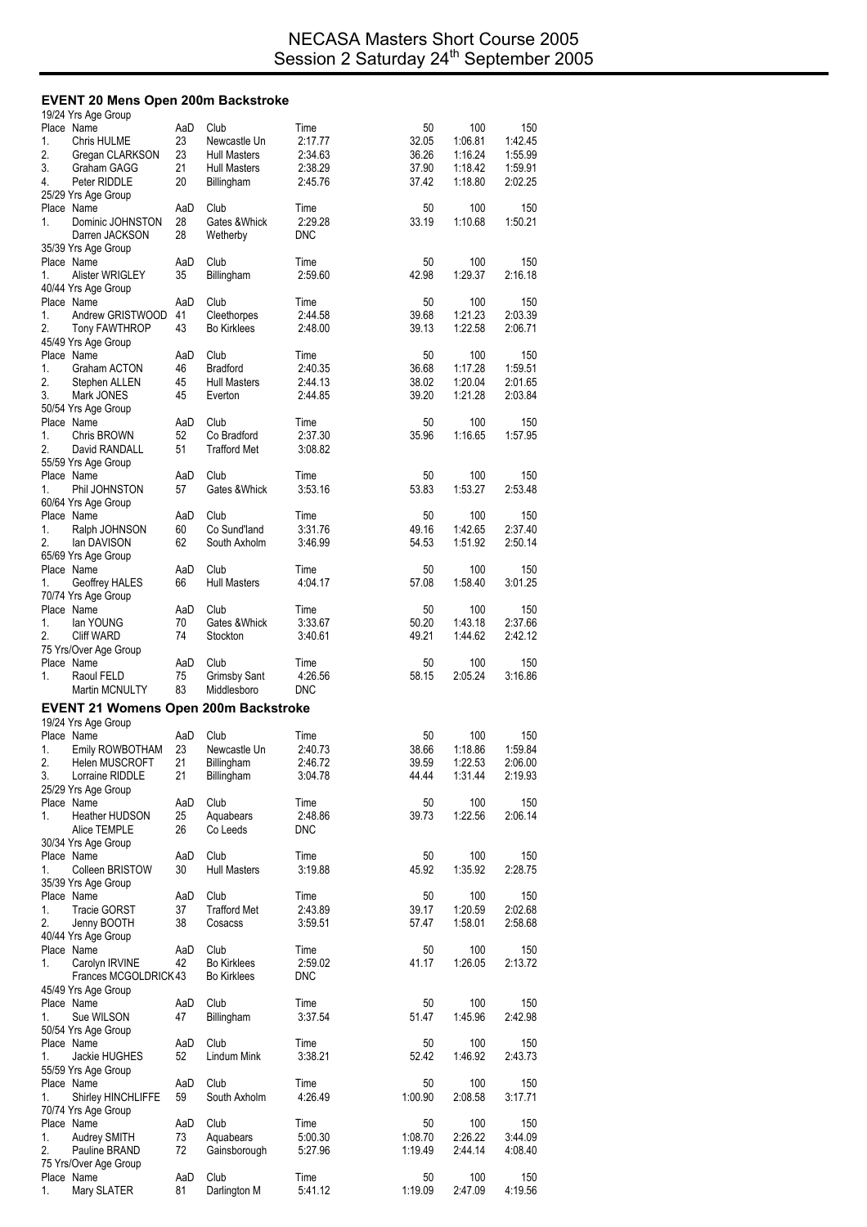#### **EVENT 20 Mens Open 200m Backstroke**

|          | 19/24 Yrs Age Group                         |           |                                    |                    |                |                    |                    |
|----------|---------------------------------------------|-----------|------------------------------------|--------------------|----------------|--------------------|--------------------|
| 1.       | Place Name<br>Chris HULME                   | AaD<br>23 | Club<br>Newcastle Un               | Time<br>2:17.77    | 50<br>32.05    | 100<br>1:06.81     | 150<br>1:42.45     |
| 2.       | Gregan CLARKSON                             | 23        | <b>Hull Masters</b>                | 2:34.63            | 36.26          | 1:16.24            | 1:55.99            |
| 3.       | Graham GAGG                                 | 21        | <b>Hull Masters</b>                | 2:38.29            | 37.90          | 1:18.42            | 1:59.91            |
| 4.       | Peter RIDDLE                                | 20        | Billingham                         | 2:45.76            | 37.42          | 1:18.80            | 2:02.25            |
|          | 25/29 Yrs Age Group                         |           |                                    |                    |                |                    |                    |
| 1.       | Place Name<br>Dominic JOHNSTON              | AaD<br>28 | Club<br>Gates & Whick              | Time<br>2:29.28    | 50<br>33.19    | 100<br>1:10.68     | 150<br>1:50.21     |
|          | Darren JACKSON                              | 28        | Wetherby                           | <b>DNC</b>         |                |                    |                    |
|          | 35/39 Yrs Age Group                         |           |                                    |                    |                |                    |                    |
|          | Place Name                                  | AaD       | Club                               | Time               | 50             | 100                | 150                |
| 1.       | Alister WRIGLEY                             | 35        | Billingham                         | 2:59.60            | 42.98          | 1:29.37            | 2:16.18            |
|          | 40/44 Yrs Age Group                         |           |                                    |                    |                |                    |                    |
|          | Place Name                                  | AaD       | Club                               | Time               | 50             | 100                | 150                |
| 1.<br>2. | Andrew GRISTWOOD<br><b>Tony FAWTHROP</b>    | 41<br>43  | Cleethorpes<br><b>Bo Kirklees</b>  | 2:44.58<br>2:48.00 | 39.68<br>39.13 | 1:21.23<br>1:22.58 | 2:03.39<br>2:06.71 |
|          | 45/49 Yrs Age Group                         |           |                                    |                    |                |                    |                    |
|          | Place Name                                  | AaD       | Club                               | Time               | 50             | 100                | 150                |
| 1.       | Graham ACTON                                | 46        | <b>Bradford</b>                    | 2:40.35            | 36.68          | 1:17.28            | 1:59.51            |
| 2.       | Stephen ALLEN                               | 45        | <b>Hull Masters</b>                | 2:44.13            | 38.02          | 1:20.04            | 2:01.65            |
| 3.       | Mark JONES                                  | 45        | Everton                            | 2:44.85            | 39.20          | 1:21.28            | 2:03.84            |
|          | 50/54 Yrs Age Group                         |           |                                    |                    |                |                    |                    |
| 1.       | Place Name<br><b>Chris BROWN</b>            | AaD<br>52 | Club<br>Co Bradford                | Time<br>2:37.30    | 50<br>35.96    | 100<br>1:16.65     | 150<br>1:57.95     |
| 2.       | David RANDALL                               | 51        | <b>Trafford Met</b>                | 3:08.82            |                |                    |                    |
|          | 55/59 Yrs Age Group                         |           |                                    |                    |                |                    |                    |
|          | Place Name                                  | AaD       | Club                               | Time               | 50             | 100                | 150                |
| 1.       | Phil JOHNSTON                               | 57        | Gates & Whick                      | 3:53.16            | 53.83          | 1:53.27            | 2:53.48            |
|          | 60/64 Yrs Age Group                         |           |                                    |                    |                |                    |                    |
|          | Place Name                                  | AaD       | Club                               | Time               | 50<br>49.16    | 100<br>1:42.65     | 150                |
| 1.<br>2. | Ralph JOHNSON<br>lan DAVISON                | 60<br>62  | Co Sund'land<br>South Axholm       | 3:31.76<br>3:46.99 | 54.53          | 1:51.92            | 2:37.40<br>2:50.14 |
|          | 65/69 Yrs Age Group                         |           |                                    |                    |                |                    |                    |
|          | Place Name                                  | AaD       | Club                               | Time               | 50             | 100                | 150                |
| 1.       | Geoffrey HALES                              | 66        | <b>Hull Masters</b>                | 4:04.17            | 57.08          | 1:58.40            | 3:01.25            |
|          | 70/74 Yrs Age Group                         |           |                                    |                    |                |                    |                    |
|          | Place Name                                  | AaD       | Club                               | Time               | 50             | 100                | 150                |
| 1.<br>2. | lan YOUNG                                   | 70<br>74  | Gates & Whick                      | 3:33.67<br>3:40.61 | 50.20<br>49.21 | 1:43.18<br>1:44.62 | 2:37.66<br>2:42.12 |
|          | Cliff WARD                                  |           | Stockton                           |                    |                |                    |                    |
|          |                                             |           |                                    |                    |                |                    |                    |
|          | 75 Yrs/Over Age Group                       |           |                                    |                    |                |                    |                    |
| 1.       | Place Name<br>Raoul FELD                    | AaD<br>75 | Club                               | Time<br>4:26.56    | 50<br>58.15    | 100<br>2:05.24     | 150<br>3:16.86     |
|          | Martin MCNULTY                              | 83        | <b>Grimsby Sant</b><br>Middlesboro | <b>DNC</b>         |                |                    |                    |
|          |                                             |           |                                    |                    |                |                    |                    |
|          | <b>EVENT 21 Womens Open 200m Backstroke</b> |           |                                    |                    |                |                    |                    |
|          | 19/24 Yrs Age Group<br>Place Name           | AaD       | Club                               | Time               | 50             | 100                | 150                |
| 1.       | Emily ROWBOTHAM                             | 23        | Newcastle Un                       | 2:40.73            | 38.66          | 1:18.86            | 1:59.84            |
| 2.       | Helen MUSCROFT                              | 21        | Billingham                         | 2:46.72            | 39.59          | 1:22.53            | 2:06.00            |
| 3.       | Lorraine RIDDLE                             | 21        | Billingham                         | 3:04.78            | 44.44          | 1:31.44            | 2:19.93            |
|          | 25/29 Yrs Age Group                         |           |                                    |                    |                |                    |                    |
| 1.       | Place Name                                  | AaD       | Club                               | Time               | 50             | 100                | 150                |
|          | <b>Heather HUDSON</b><br>Alice TEMPLE       | 25<br>26  | Aquabears<br>Co Leeds              | 2:48.86<br>DNC     | 39.73          | 1:22.56            | 2:06.14            |
|          | 30/34 Yrs Age Group                         |           |                                    |                    |                |                    |                    |
|          | Place Name                                  | AaD       | Club                               | Time               | 50             | 100                | 150                |
| 1.       | Colleen BRISTOW                             | 30        | <b>Hull Masters</b>                | 3:19.88            | 45.92          | 1:35.92            | 2:28.75            |
|          | 35/39 Yrs Age Group                         |           |                                    |                    |                |                    |                    |
|          | Place Name                                  | AaD       | Club                               | Time               | 50             | 100                | 150                |
| 1.<br>2. | <b>Tracie GORST</b>                         | 37<br>38  | <b>Trafford Met</b><br>Cosacss     | 2:43.89<br>3:59.51 | 39.17<br>57.47 | 1:20.59<br>1:58.01 | 2:02.68<br>2:58.68 |
|          | Jenny BOOTH<br>40/44 Yrs Age Group          |           |                                    |                    |                |                    |                    |
|          | Place Name                                  | AaD       | Club                               | Time               | 50             | 100                | 150                |
| 1.       | Carolyn IRVINE                              | 42        | <b>Bo Kirklees</b>                 | 2:59.02            | 41.17          | 1:26.05            | 2:13.72            |
|          | Frances MCGOLDRICK43                        |           | <b>Bo Kirklees</b>                 | <b>DNC</b>         |                |                    |                    |
|          | 45/49 Yrs Age Group                         |           |                                    |                    |                |                    |                    |
|          | Place Name                                  | AaD       | Club                               | Time               | 50             | 100                | 150                |
| 1.       | Sue WILSON                                  | 47        | Billingham                         | 3:37.54            | 51.47          | 1:45.96            | 2:42.98            |
|          | 50/54 Yrs Age Group<br>Place Name           | AaD       | Club                               | Time               | 50             | 100                | 150                |
| 1.       | Jackie HUGHES                               | 52        | Lindum Mink                        | 3:38.21            | 52.42          | 1:46.92            | 2:43.73            |
|          | 55/59 Yrs Age Group                         |           |                                    |                    |                |                    |                    |
|          | Place Name                                  | AaD       | Club                               | Time               | 50             | 100                | 150                |
| 1.       | Shirley HINCHLIFFE                          | 59        | South Axholm                       | 4:26.49            | 1:00.90        | 2:08.58            | 3:17.71            |
|          | 70/74 Yrs Age Group                         | AaD       | Club                               |                    | 50             | 100                |                    |
| 1.       | Place Name<br>Audrey SMITH                  | 73        | Aquabears                          | Time<br>5:00.30    | 1:08.70        | 2:26.22            | 150<br>3:44.09     |
| 2.       | Pauline BRAND                               | 72        | Gainsborough                       | 5:27.96            | 1:19.49        | 2:44.14            | 4:08.40            |
|          | 75 Yrs/Over Age Group                       |           |                                    |                    |                |                    |                    |
| 1.       | Place Name<br>Mary SLATER                   | AaD<br>81 | Club<br>Darlington M               | Time<br>5:41.12    | 50<br>1:19.09  | 100<br>2.47.09     | 150<br>4:19.56     |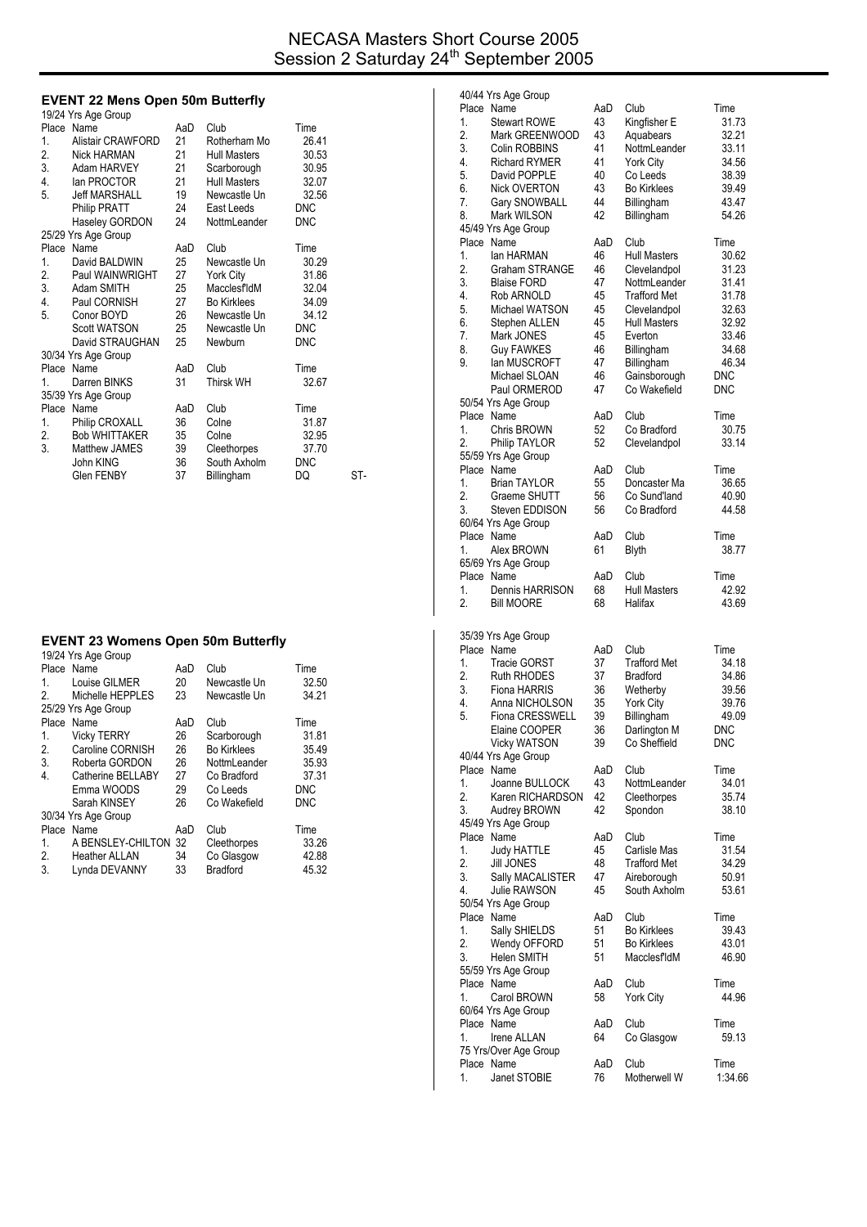### **EVENT 22 Mens Open 50m Butterfly**

|    | 19/24 Yrs Age Group      |     |                     |            |     |
|----|--------------------------|-----|---------------------|------------|-----|
|    | Place Name               | AaD | Club                | Time       |     |
| 1. | <b>Alistair CRAWFORD</b> | 21  | Rotherham Mo        | 26.41      |     |
| 2. | <b>Nick HARMAN</b>       | 21  | <b>Hull Masters</b> | 30.53      |     |
| 3. | Adam HARVEY              | 21  | Scarborough         | 30.95      |     |
| 4. | lan PROCTOR              | 21  | <b>Hull Masters</b> | 32.07      |     |
| 5. | <b>Jeff MARSHALL</b>     | 19  | Newcastle Un        | 32.56      |     |
|    | Philip PRATT             | 24  | East Leeds          | <b>DNC</b> |     |
|    | Haseley GORDON           | 24  | NottmLeander        | <b>DNC</b> |     |
|    | 25/29 Yrs Age Group      |     |                     |            |     |
|    | Place Name               | AaD | Club                | Time       |     |
| 1. | David BALDWIN            | 25  | Newcastle Un        | 30.29      |     |
| 2. | Paul WAINWRIGHT          | 27  | York City           | 31.86      |     |
| 3. | Adam SMITH               | 25  | MacclesfldM         | 32.04      |     |
| 4. | Paul CORNISH             | 27  | Bo Kirklees         | 34.09      |     |
| 5. | Conor BOYD               | 26  | Newcastle Un        | 34.12      |     |
|    | <b>Scott WATSON</b>      | 25  | Newcastle Un        | <b>DNC</b> |     |
|    | David STRAUGHAN          | 25  | Newburn             | <b>DNC</b> |     |
|    | 30/34 Yrs Age Group      |     |                     |            |     |
|    | Place Name               | AaD | Club                | Time       |     |
| 1. | Darren BINKS             | 31  | Thirsk WH           | 32.67      |     |
|    | 35/39 Yrs Age Group      |     |                     |            |     |
|    | Place Name               | AaD | Club                | Time       |     |
| 1. | Philip CROXALL           | 36  | Colne               | 31.87      |     |
| 2. | <b>Bob WHITTAKER</b>     | 35  | Colne               | 32.95      |     |
| 3. | Matthew JAMES            | 39  | Cleethorpes         | 37.70      |     |
|    | John KING                | 36  | South Axholm        | <b>DNC</b> |     |
|    | <b>Glen FENBY</b>        | 37  | Billingham          | DQ         | ST- |
|    |                          |     |                     |            |     |

#### **EVENT 23 Womens Open 50m Butterfly**

|                | 19/24 Yrs Age Group  |     |                    |            |
|----------------|----------------------|-----|--------------------|------------|
|                | Place Name           | AaD | Club               | Time       |
| 1              | Louise GILMER        | 20  | Newcastle Un       | 32.50      |
| 2              | Michelle HEPPLES     | 23  | Newcastle Un       | 34.21      |
|                | 25/29 Yrs Age Group  |     |                    |            |
| Place          | Name                 | AaD | Club               | Time       |
| 1.             | <b>Vicky TERRY</b>   | 26  | Scarborough        | 31.81      |
| 2.             | Caroline CORNISH     | 26  | <b>Bo Kirklees</b> | 35.49      |
| 3.             | Roberta GORDON       | 26  | NottmLeander       | 35.93      |
| 4.             | Catherine BELLABY    | 27  | Co Bradford        | 37.31      |
|                | Emma WOODS           | 29  | Co Leeds           | <b>DNC</b> |
|                | Sarah KINSEY         | 26  | Co Wakefield       | DNC        |
|                | 30/34 Yrs Age Group  |     |                    |            |
| Place          | Name                 | AaD | Club               | Time       |
| 1.             | A BENSLEY-CHILTON    | 32  | Cleethorpes        | 33.26      |
| $\mathfrak{p}$ | <b>Heather ALLAN</b> | 34  | Co Glasgow         | 42.88      |
| 3.             | Lynda DEVANNY        | 33  | <b>Bradford</b>    | 45.32      |

| 40/44 Yrs Age Group<br>Place Name             | AaD       | Club                       | Time            |
|-----------------------------------------------|-----------|----------------------------|-----------------|
| 1.<br><b>Stewart ROWE</b>                     | 43        | Kingfisher E               | 31.73           |
| 2.<br>Mark GREENWOOD                          | 43        | Aquabears                  | 32.21           |
| 3.<br>Colin ROBBINS                           | 41        | NottmLeander               | 33.11           |
| 4.<br><b>Richard RYMER</b>                    | 41        | <b>York City</b>           | 34.56           |
| 5.<br>David POPPLE                            | 40        | Co Leeds                   | 38.39           |
| <b>Nick OVERTON</b><br>6.                     | 43        | <b>Bo Kirklees</b>         | 39.49           |
| Gary SNOWBALL<br>7.                           | 44        | Billingham                 | 43.47           |
| 8.<br>Mark WILSON<br>45/49 Yrs Age Group      | 42        | Billingham                 | 54.26           |
| Place Name                                    | AaD       | Club                       | Time            |
| 1.<br>lan HARMAN                              | 46        | Hull Masters               | 30.62           |
| 2.<br><b>Graham STRANGE</b>                   | 46        | Clevelandpol               | 31.23           |
| 3.<br><b>Blaise FORD</b>                      | 47        | NottmLeander               | 31.41           |
| 4.<br>Rob ARNOLD                              | 45        | <b>Trafford Met</b>        | 31.78           |
| 5.<br>Michael WATSON                          | 45        | Clevelandpol               | 32.63           |
| 6.<br>Stephen ALLEN                           | 45        | <b>Hull Masters</b>        | 32.92           |
| Mark JONES<br>7.                              | 45        | Everton                    | 33.46           |
| 8.<br><b>Guy FAWKES</b><br>9.<br>lan MUSCROFT | 46<br>47  | Billingham                 | 34.68<br>46.34  |
| Michael SLOAN                                 | 46        | Billingham<br>Gainsborough | DNC             |
| Paul ORMEROD                                  | 47        | Co Wakefield               | <b>DNC</b>      |
| 50/54 Yrs Age Group                           |           |                            |                 |
| Place Name                                    | AaD       | Club                       | Time            |
| 1.<br>Chris BROWN                             | 52        | Co Bradford                | 30.75           |
| 2.<br>Philip TAYLOR                           | 52        | Clevelandpol               | 33.14           |
| 55/59 Yrs Age Group                           |           |                            |                 |
| Place Name                                    | AaD       | Club                       | Time            |
| 1.<br><b>Brian TAYLOR</b>                     | 55        | Doncaster Ma               | 36.65           |
| 2.<br>Graeme SHUTT                            | 56        | Co Sund'land               | 40.90           |
| 3.<br>Steven EDDISON<br>60/64 Yrs Age Group   | 56        | Co Bradford                | 44.58           |
| Place Name                                    | AaD       | Club                       | Time            |
| 1.<br>Alex BROWN                              | 61        | <b>Blyth</b>               | 38.77           |
| 65/69 Yrs Age Group                           |           |                            |                 |
| Place Name                                    | AaD       | Club                       | Time            |
| 1.<br>Dennis HARRISON                         | 68        | <b>Hull Masters</b>        | 42.92           |
| 2.<br><b>Bill MOORE</b>                       | 68        | Halifax                    | 43.69           |
|                                               |           |                            |                 |
| 35/39 Yrs Age Group                           |           |                            |                 |
| Place Name                                    | AaD       | Club                       | Time            |
| 1.<br><b>Tracie GORST</b>                     | 37        | <b>Trafford Met</b>        | 34.18           |
| 2.<br><b>Ruth RHODES</b>                      | 37        | <b>Bradford</b>            | 34.86           |
| 3.<br><b>Fiona HARRIS</b>                     | 36        | Wetherby                   | 39.56           |
| 4.<br>Anna NICHOLSON                          | 35        | <b>York City</b>           | 39.76           |
| 5.<br><b>Fiona CRESSWELL</b>                  | 39        | Billingham                 |                 |
| Elaine COOPER                                 |           |                            | 49.09           |
|                                               | 36        | Darlington M               | DNC             |
| <b>Vicky WATSON</b>                           | 39        | Co Sheffield               | DNC             |
| 40/44 Yrs Age Group                           |           |                            |                 |
| Place Name                                    | AaD       | Club                       | Time            |
| 1.<br>Joanne BULLOCK<br>2.                    | 43<br>42  | NottmLeander               | 34.01           |
| Karen RICHARDSON<br>3.                        | 42        | Cleethorpes<br>Spondon     | 35.74<br>38.10  |
| Audrey BROWN<br>45/49 Yrs Age Group           |           |                            |                 |
| Place Name                                    | AaD       | Club                       | Time            |
| 1.<br><b>Judy HATTLE</b>                      | 45        | Carlisle Mas               | 31.54           |
| 2.<br><b>Jill JONES</b>                       | 48        | <b>Trafford Met</b>        | 34.29           |
| 3.<br>Sally MACALISTER                        | 47        | Aireborough                | 50.91           |
| 4.<br>Julie RAWSON                            | 45        | South Axholm               | 53.61           |
| 50/54 Yrs Age Group                           |           |                            |                 |
| Place Name                                    | AaD       | Club                       | Time            |
| 1.<br>Sally SHIELDS                           | 51        | <b>Bo Kirklees</b>         | 39.43           |
| 2.<br>Wendy OFFORD                            | 51        | <b>Bo Kirklees</b>         | 43.01           |
| 3.<br>Helen SMITH                             | 51        | MacclesfldM                | 46.90           |
| 55/59 Yrs Age Group<br>Place Name             | AaD       | Club                       | Time            |
| 1.<br>Carol BROWN                             | 58        | <b>York City</b>           | 44.96           |
| 60/64 Yrs Age Group                           |           |                            |                 |
| Place Name                                    | AaD       | Club                       | Time            |
| 1.<br>Irene ALLAN                             | 64        | Co Glasgow                 | 59.13           |
| 75 Yrs/Over Age Group                         |           |                            |                 |
| Place Name<br>1.<br>Janet STOBIE              | AaD<br>76 | Club<br>Motherwell W       | Time<br>1:34.66 |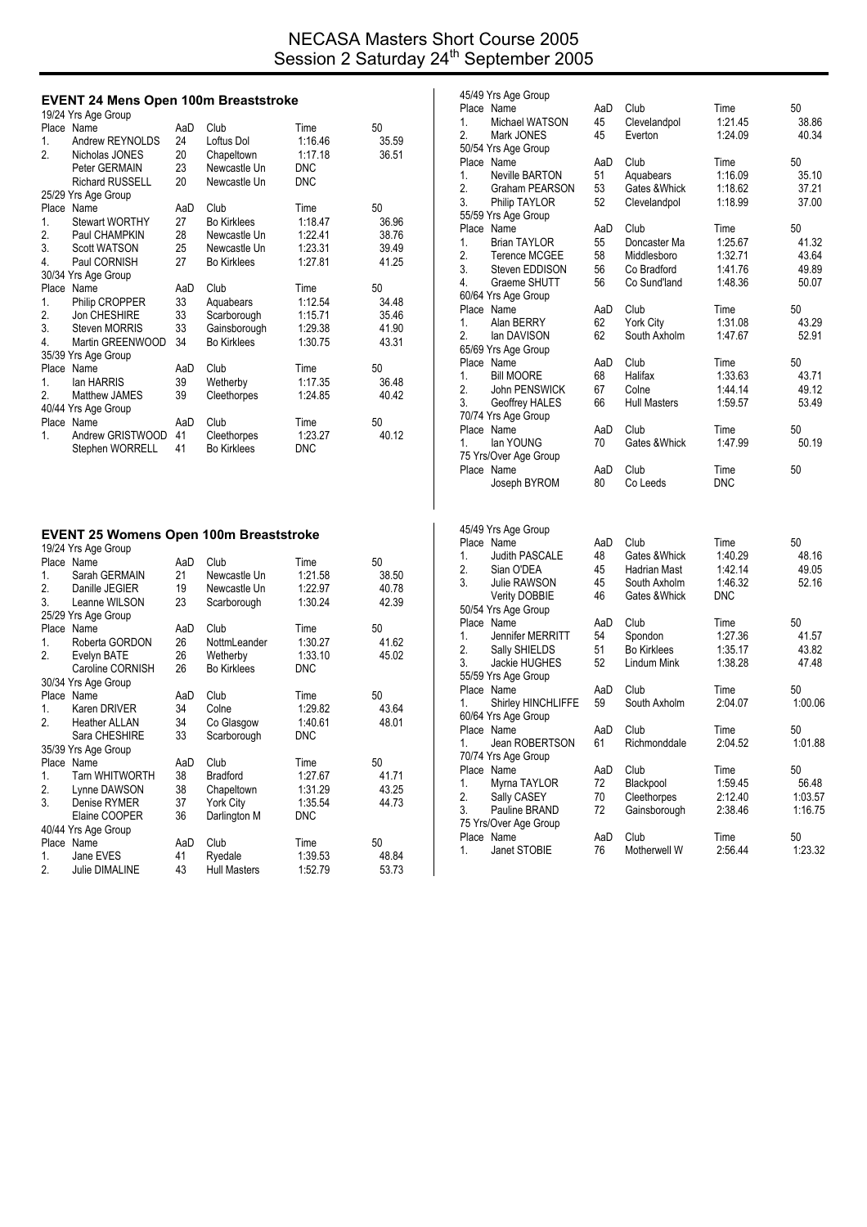## NECASA Masters Short Course 2005 Session 2 Saturday 24<sup>th</sup> September 2005

### **EVENT 24 Mens Open 100m Breaststroke**

|                  | 19/24 Yrs Age Group    |     |                    |            |       |
|------------------|------------------------|-----|--------------------|------------|-------|
|                  | Place Name             | AaD | Club               | Time       | 50    |
| 1.               | Andrew REYNOLDS        | 24  | Loftus Dol         | 1:16.46    | 35.59 |
| $\overline{2}$ . | Nicholas JONES         | 20  | Chapeltown         | 1:17.18    | 36.51 |
|                  | Peter GERMAIN          | 23  | Newcastle Un       | <b>DNC</b> |       |
|                  | <b>Richard RUSSELL</b> | 20  | Newcastle Un       | <b>DNC</b> |       |
|                  | 25/29 Yrs Age Group    |     |                    |            |       |
|                  | Place Name             | AaD | Club               | Time       | 50    |
| 1.               | <b>Stewart WORTHY</b>  | 27  | <b>Bo Kirklees</b> | 1:18.47    | 36.96 |
| 2.               | Paul CHAMPKIN          | 28  | Newcastle Un       | 1:22.41    | 38.76 |
| 3.               | <b>Scott WATSON</b>    | 25  | Newcastle Un       | 1:23.31    | 39.49 |
| 4.               | Paul CORNISH           | 27  | <b>Bo Kirklees</b> | 1:27.81    | 41.25 |
|                  | 30/34 Yrs Age Group    |     |                    |            |       |
|                  | Place Name             | AaD | Club               | Time       | 50    |
| 1.               | Philip CROPPER         | 33  | Aquabears          | 1:12.54    | 34.48 |
| 2.               | Jon CHESHIRE           | 33  | Scarborough        | 1:15.71    | 35.46 |
| 3.               | <b>Steven MORRIS</b>   | 33  | Gainsborough       | 1:29.38    | 41.90 |
| 4.               | Martin GREENWOOD       | 34  | <b>Bo Kirklees</b> | 1:30.75    | 43.31 |
|                  | 35/39 Yrs Age Group    |     |                    |            |       |
| Place            | Name                   | AaD | Club               | Time       | 50    |
| 1.               | lan HARRIS             | 39  | Wetherby           | 1:17.35    | 36.48 |
| $\overline{2}$ . | <b>Matthew JAMES</b>   | 39  | Cleethorpes        | 1:24.85    | 40.42 |
|                  | 40/44 Yrs Age Group    |     |                    |            |       |
|                  | Place Name             | AaD | Club               | Time       | 50    |
| 1.               | Andrew GRISTWOOD       | 41  | Cleethorpes        | 1:23.27    | 40.12 |
|                  | Stephen WORRELL        | 41  | <b>Bo Kirklees</b> | <b>DNC</b> |       |

#### **EVENT 25 Womens Open 100m Breaststroke**

|                  | 19/24 Yrs Age Group   |     |                     |            |       |
|------------------|-----------------------|-----|---------------------|------------|-------|
|                  | Place Name            | AaD | Club                | Time       | 50    |
| 1.               | Sarah GERMAIN         | 21  | Newcastle Un        | 1:21.58    | 38.50 |
| $\overline{2}$ . | Danille JEGIER        | 19  | Newcastle Un        | 1:22.97    | 40.78 |
| 3.               | Leanne WILSON         | 23  | Scarborough         | 1:30.24    | 42.39 |
|                  | 25/29 Yrs Age Group   |     |                     |            |       |
|                  | Place Name            | AaD | Club                | Time       | 50    |
| 1.               | Roberta GORDON        | 26  | NottmLeander        | 1:30.27    | 41.62 |
| 2.               | Evelyn BATE           | 26  | Wetherby            | 1:33.10    | 45.02 |
|                  | Caroline CORNISH      | 26  | <b>Bo Kirklees</b>  | <b>DNC</b> |       |
|                  | 30/34 Yrs Age Group   |     |                     |            |       |
|                  | Place Name            | AaD | Club                | Time       | 50    |
| 1.               | Karen DRIVER          | 34  | Colne               | 1:29.82    | 43.64 |
| $\overline{2}$ . | <b>Heather ALLAN</b>  | 34  | Co Glasgow          | 1:40.61    | 48.01 |
|                  | Sara CHESHIRE         | 33  | Scarborough         | <b>DNC</b> |       |
|                  | 35/39 Yrs Age Group   |     |                     |            |       |
|                  | Place Name            | AaD | Club                | Time       | 50    |
| $1_{-}$          | <b>Tarn WHITWORTH</b> | 38  | <b>Bradford</b>     | 1:27.67    | 41.71 |
| 2.               | Lynne DAWSON          | 38  | Chapeltown          | 1:31.29    | 43.25 |
| 3.               | Denise RYMER          | 37  | York City           | 1:35.54    | 44.73 |
|                  | Elaine COOPER         | 36  | Darlington M        | <b>DNC</b> |       |
|                  | 40/44 Yrs Age Group   |     |                     |            |       |
|                  | Place Name            | AaD | Club                | Time       | 50    |
| 1.               | Jane EVES             | 41  | Ryedale             | 1:39.53    | 48.84 |
| 2.               | Julie DIMALINE        | 43  | <b>Hull Masters</b> | 1:52.79    | 53.73 |
|                  |                       |     |                     |            |       |

|    | 45/49 Yrs Age Group               |           |                                   |                 |             |
|----|-----------------------------------|-----------|-----------------------------------|-----------------|-------------|
|    | Place Name                        | AaD       | Club                              | Time            | 50          |
| 1. | Michael WATSON                    | 45        | Clevelandpol                      | 1:21.45         | 38.86       |
| 2. | Mark JONES                        | 45        | Everton                           | 1:24.09         | 40.34       |
|    | 50/54 Yrs Age Group               |           |                                   |                 |             |
|    | Place Name                        | AaD       | Club                              | Time            | 50          |
| 1. | Neville BARTON                    | 51        | Aquabears                         | 1:16.09         | 35.10       |
| 2. | Graham PEARSON                    | 53        | Gates & Whick                     | 1:18.62         | 37.21       |
| 3. | Philip TAYLOR                     | 52        | Clevelandpol                      | 1:18.99         | 37.00       |
|    | 55/59 Yrs Age Group               |           |                                   |                 |             |
|    | Place Name                        | AaD       | Club                              | Time            | 50          |
| 1. | <b>Brian TAYLOR</b>               | 55        | Doncaster Ma                      | 1:25.67         | 41.32       |
| 2. | <b>Terence MCGEE</b>              | 58        | Middlesboro                       | 1:32.71         | 43.64       |
| 3. | Steven EDDISON                    | 56        | Co Bradford                       | 1:41.76         | 49.89       |
| 4. | Graeme SHUTT                      | 56        | Co Sund'land                      | 1:48.36         | 50.07       |
|    | 60/64 Yrs Age Group               |           |                                   |                 |             |
| 1. | Place Name<br>Alan BERRY          | AaD<br>62 | Club<br>York City                 | Time<br>1:31.08 | 50<br>43.29 |
| 2. | lan DAVISON                       | 62        | South Axholm                      | 1:47.67         | 52.91       |
|    | 65/69 Yrs Age Group               |           |                                   |                 |             |
|    | Place Name                        | AaD       | Club                              | Time            | 50          |
| 1. | <b>Bill MOORE</b>                 | 68        | Halifax                           | 1:33.63         | 43.71       |
| 2. | John PENSWICK                     | 67        | Colne                             | 1 44 14         | 49.12       |
| 3. | Geoffrey HALES                    | 66        | <b>Hull Masters</b>               | 1:59.57         | 53.49       |
|    | 70/74 Yrs Age Group               |           |                                   |                 |             |
|    | Place Name                        | AaD       | Club                              | Time            | 50          |
| 1. | lan YOUNG                         | 70        | Gates & Whick                     | 1.47.99         | 50.19       |
|    | 75 Yrs/Over Age Group             |           |                                   |                 |             |
|    | Place Name                        | AaD       | Club                              | Time            | 50          |
|    | Joseph BYROM                      | 80        | Co Leeds                          | <b>DNC</b>      |             |
|    |                                   |           |                                   |                 |             |
|    | 45/49 Yrs Age Group               |           |                                   |                 |             |
|    | Place Name                        | AaD       | Club                              | Time            | 50          |
| 1. | <b>Judith PASCALE</b>             | 48        | Gates & Whick                     | 1:40.29         | 48.16       |
| 2. | Sian O'DEA                        | 45        | Hadrian Mast                      | 1:42.14         | 49.05       |
| 3. | Julie RAWSON                      | 45        | South Axholm                      | 1:46.32         | 52.16       |
|    | <b>Verity DOBBIE</b>              | 46        | Gates & Whick                     | DNC             |             |
|    | 50/54 Yrs Age Group               |           |                                   |                 |             |
|    | Place Name                        | AaD       | Club                              | Time            | 50          |
| 1. | Jennifer MERRITT                  | 54        | Spondon                           | 1:27.36         | 41.57       |
| 2. | Sally SHIELDS                     | 51        | <b>Bo Kirklees</b><br>Lindum Mink | 1:35.17         | 43.82       |
| 3. | Jackie HUGHES                     | 52        |                                   | 1:38.28         | 47.48       |
|    | 55/59 Yrs Age Group<br>Place Name | AaD       | Club                              | Time            | 50          |
| 1. | Shirley HINCHLIFFE                | 59        | South Axholm                      | 2:04.07         | 1:00.06     |
|    | 60/64 Yrs Age Group               |           |                                   |                 |             |
|    | Place Name                        | AaD       | Club                              | Time            | 50          |
| 1. | Jean ROBERTSON                    | 61        | Richmonddale                      | 2:04.52         | 1:01.88     |
|    | 70/74 Yrs Age Group               |           |                                   |                 |             |
|    | Place Name                        | AaD       | Club                              | Time            | 50          |
| 1. | Myrna TAYLOR                      | 72        | Blackpool                         | 1:59.45         | 56.48       |
| 2. | Sally CASEY                       | 70        | Cleethorpes                       | 2:12.40         | 1:03.57     |
| 3. | Pauline BRAND                     | 72        | Gainsborough                      | 2:38.46         | 1:16.75     |
|    | 75 Yrs/Over Age Group             |           |                                   |                 |             |
|    | Place Name                        | AaD       | Club                              | Time            | 50          |
| 1. | Janet STOBIE                      | 76        | Motherwell W                      | 2:56.44         | 1:23.32     |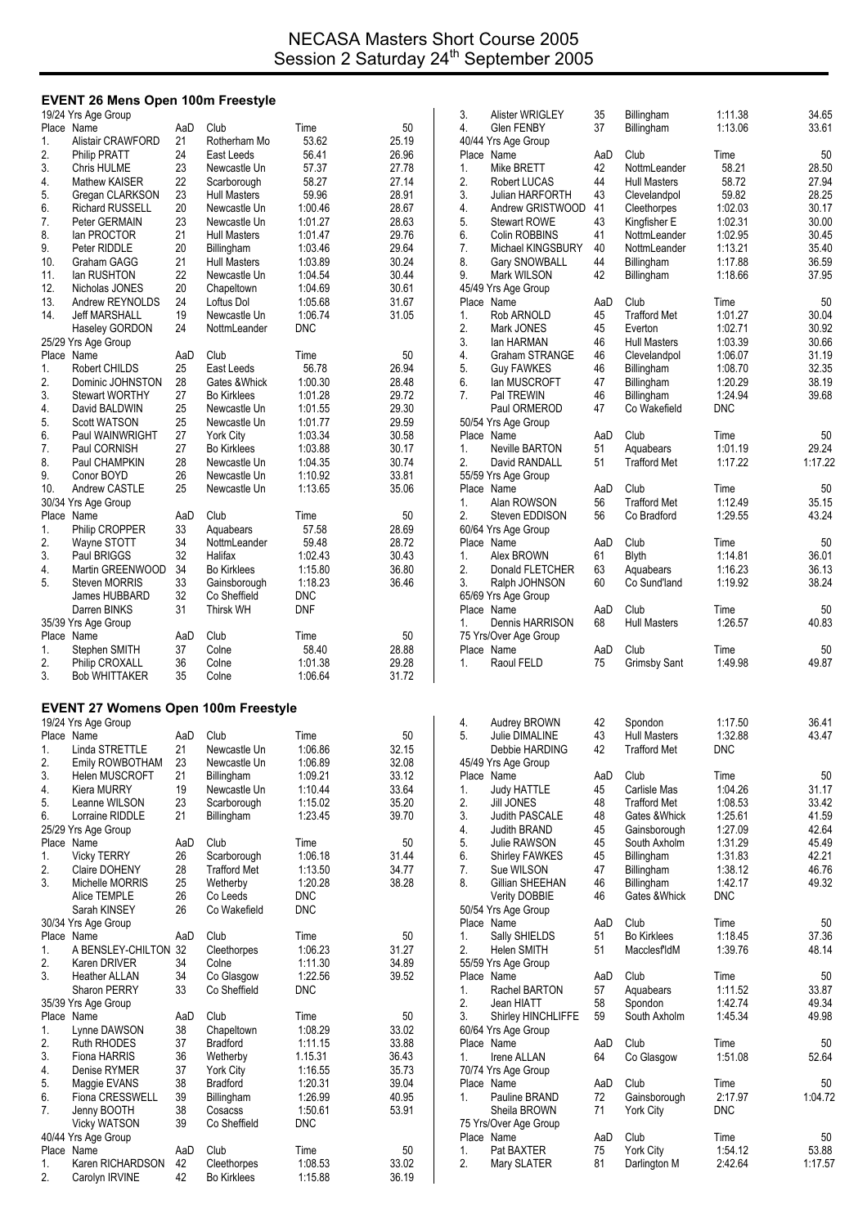# **EVENT 26 Mens Open 100m Freestyle**

|            | 19/24 Yrs Age Group                        |           |                                        |                       |                | 3.       | Alister WRIGLEY                          | 35        | Billingham                           | 1:11.38            | 34.65          |
|------------|--------------------------------------------|-----------|----------------------------------------|-----------------------|----------------|----------|------------------------------------------|-----------|--------------------------------------|--------------------|----------------|
| 1.         | Place Name<br>Alistair CRAWFORD            | AaD<br>21 | Club<br>Rotherham Mo                   | Time<br>53.62         | 50<br>25.19    | 4.       | <b>Glen FENBY</b><br>40/44 Yrs Age Group | 37        | Billingham                           | 1:13.06            | 33.61          |
| 2.         | <b>Philip PRATT</b>                        | 24        | East Leeds                             | 56.41                 | 26.96          |          | Place Name                               | AaD       | Club                                 | Time               | 50             |
| 3.         | Chris HULME                                | 23        | Newcastle Un                           | 57.37                 | 27.78          | 1.       | Mike BRETT                               | 42        | NottmLeander                         | 58.21              | 28.50          |
| 4.         | Mathew KAISER                              | 22        | Scarborough                            | 58.27                 | 27.14          | 2.       | Robert LUCAS                             | 44        | <b>Hull Masters</b>                  | 58.72              | 27.94          |
| 5.         | Gregan CLARKSON                            | 23        | <b>Hull Masters</b>                    | 59.96                 | 28.91          | 3.       | Julian HARFORTH                          | 43        | Clevelandpol                         | 59.82              | 28.25          |
| 6.         | <b>Richard RUSSELL</b>                     | 20        | Newcastle Un                           | 1:00.46               | 28.67          | 4.       | Andrew GRISTWOOD 41                      |           | Cleethorpes                          | 1:02.03            | 30.17          |
| 7.         | Peter GERMAIN                              | 23        | Newcastle Un                           | 1:01.27               | 28.63          | 5.       | <b>Stewart ROWE</b>                      | 43        | Kingfisher E                         | 1:02.31            | 30.00          |
| 8.         | lan PROCTOR                                | 21        | <b>Hull Masters</b>                    | 1:01.47               | 29.76          | 6.       | Colin ROBBINS                            | 41        | NottmLeander                         | 1:02.95            | 30.45          |
| 9.         | Peter RIDDLE                               | 20        | Billingham                             | 1:03.46               | 29.64          | 7.       | Michael KINGSBURY                        | 40        | NottmLeander                         | 1:13.21            | 35.40          |
| 10.        | Graham GAGG                                | 21        | <b>Hull Masters</b>                    | 1:03.89               | 30.24          | 8.       | Gary SNOWBALL                            | 44        | Billingham                           | 1:17.88            | 36.59          |
| 11.<br>12. | lan RUSHTON<br>Nicholas JONES              | 22<br>20  | Newcastle Un<br>Chapeltown             | 1:04.54<br>1:04.69    | 30.44<br>30.61 | 9.       | Mark WILSON<br>45/49 Yrs Age Group       | 42        | Billingham                           | 1:18.66            | 37.95          |
| 13.        | Andrew REYNOLDS                            | 24        | Loftus Dol                             | 1:05.68               | 31.67          |          | Place Name                               | AaD       | Club                                 | Time               | 50             |
| 14.        | <b>Jeff MARSHALL</b>                       | 19        | Newcastle Un                           | 1:06.74               | 31.05          | 1.       | Rob ARNOLD                               | 45        | <b>Trafford Met</b>                  | 1:01.27            | 30.04          |
|            | Haseley GORDON                             | 24        | NottmLeander                           | <b>DNC</b>            |                | 2.       | Mark JONES                               | 45        | Everton                              | 1:02.71            | 30.92          |
|            | 25/29 Yrs Age Group                        |           |                                        |                       |                | 3.       | lan HARMAN                               | 46        | <b>Hull Masters</b>                  | 1:03.39            | 30.66          |
|            | Place Name                                 | AaD       | Club                                   | Time                  | 50             | 4.       | Graham STRANGE                           | 46        | Clevelandpol                         | 1:06.07            | 31.19          |
| 1.         | Robert CHILDS                              | 25        | East Leeds                             | 56.78                 | 26.94          | 5.       | <b>Guy FAWKES</b>                        | 46        | Billingham                           | 1.08.70            | 32.35          |
| 2.         | Dominic JOHNSTON                           | 28        | Gates & Whick                          | 1:00.30               | 28.48          | 6.       | lan MUSCROFT                             | 47        | Billingham                           | 1:20.29            | 38.19          |
| 3.         | <b>Stewart WORTHY</b>                      | 27        | <b>Bo Kirklees</b>                     | 1:01.28               | 29.72          | 7.       | Pal TREWIN                               | 46        | <b>Billingham</b>                    | 1.24.94            | 39.68          |
| 4.         | David BALDWIN                              | 25        | Newcastle Un                           | 1:01.55               | 29.30          |          | Paul ORMEROD                             | 47        | Co Wakefield                         | <b>DNC</b>         |                |
| 5.         | <b>Scott WATSON</b>                        | 25        | Newcastle Un                           | 1:01.77               | 29.59          |          | 50/54 Yrs Age Group                      |           |                                      |                    |                |
| 6.<br>7.   | Paul WAINWRIGHT<br>Paul CORNISH            | 27<br>27  | <b>York City</b><br><b>Bo Kirklees</b> | 1:03.34<br>1:03.88    | 30.58<br>30.17 | 1.       | Place Name<br>Neville BARTON             | AaD<br>51 | Club                                 | Time<br>1:01.19    | 50<br>29.24    |
| 8.         | Paul CHAMPKIN                              | 28        | Newcastle Un                           | 1:04.35               | 30.74          | 2.       | David RANDALL                            | 51        | Aquabears<br><b>Trafford Met</b>     | 1:17.22            | 1:17.22        |
| 9.         | Conor BOYD                                 | 26        | Newcastle Un                           | 1:10.92               | 33.81          |          | 55/59 Yrs Age Group                      |           |                                      |                    |                |
| 10.        | Andrew CASTLE                              | 25        | Newcastle Un                           | 1:13.65               | 35.06          |          | Place Name                               | AaD       | Club                                 | Time               | 50             |
|            | 30/34 Yrs Age Group                        |           |                                        |                       |                | 1.       | Alan ROWSON                              | 56        | <b>Trafford Met</b>                  | 1:12.49            | 35.15          |
|            | Place Name                                 | AaD       | Club                                   | Time                  | 50             | 2.       | Steven EDDISON                           | 56        | Co Bradford                          | 1:29.55            | 43.24          |
| 1.         | Philip CROPPER                             | 33        | Aquabears                              | 57.58                 | 28.69          |          | 60/64 Yrs Age Group                      |           |                                      |                    |                |
| 2.         | Wayne STOTT                                | 34        | NottmLeander                           | 59.48                 | 28.72          |          | Place Name                               | AaD       | Club                                 | Time               | 50             |
| 3.         | Paul BRIGGS                                | 32        | Halifax                                | 1:02.43               | 30.43          | 1.       | Alex BROWN                               | 61        | Blyth                                | 1:14.81            | 36.01          |
| 4.         | Martin GREENWOOD                           | 34        | <b>Bo Kirklees</b>                     | 1:15.80               | 36.80          | 2.       | Donald FLETCHER                          | 63        | Aquabears                            | 1:16.23            | 36.13          |
| 5.         | Steven MORRIS                              | 33        | Gainsborough                           | 1:18.23               | 36.46          | 3.       | Ralph JOHNSON                            | 60        | Co Sund'land                         | 1:19.92            | 38.24          |
|            | James HUBBARD                              | 32<br>31  | Co Sheffield                           | DNC                   |                |          | 65/69 Yrs Age Group                      |           |                                      |                    |                |
|            | Darren BINKS<br>35/39 Yrs Age Group        |           | <b>Thirsk WH</b>                       | <b>DNF</b>            |                | 1.       | Place Name<br>Dennis HARRISON            | AaD<br>68 | Club<br><b>Hull Masters</b>          | Time<br>1:26.57    | 50<br>40.83    |
|            |                                            |           |                                        |                       |                |          |                                          |           |                                      |                    |                |
|            |                                            |           |                                        |                       |                |          |                                          |           |                                      |                    |                |
|            | Place Name                                 | AaD       | Club                                   | Time                  | 50             |          | 75 Yrs/Over Age Group                    |           |                                      |                    |                |
| 1.         | Stephen SMITH                              | 37        | Colne                                  | 58.40                 | 28.88          | 1.       | Place Name                               | AaD       | Club                                 | Time               | 50             |
| 2.<br>3.   | Philip CROXALL<br><b>Bob WHITTAKER</b>     | 36<br>35  | Colne<br>Colne                         | 1:01.38<br>1:06.64    | 29.28<br>31.72 |          | Raoul FELD                               | 75        | <b>Grimsby Sant</b>                  | 1:49.98            | 49.87          |
|            |                                            |           |                                        |                       |                |          |                                          |           |                                      |                    |                |
|            | <b>EVENT 27 Womens Open 100m Freestyle</b> |           |                                        |                       |                |          |                                          |           |                                      |                    |                |
|            | 19/24 Yrs Age Group                        |           |                                        |                       |                | 4.       | Audrey BROWN                             | 42        | Spondon                              | 1:17.50            | 36.41          |
|            | Place Name                                 | AaD       | Club                                   | Time                  | 50             | 5.       | <b>Julie DIMALINE</b>                    | 43        | <b>Hull Masters</b>                  | 1:32.88            | 43.47          |
| 1.         | Linda STRETTLE                             | 21        | Newcastle Un                           | 1:06.86               | 32.15          |          | Debbie HARDING                           | 42        | <b>Trafford Met</b>                  | DNC                |                |
| 2.         | Emily ROWBOTHAM                            | 23        | Newcastle Un                           | 1:06.89               | 32.08          |          | 45/49 Yrs Age Group                      |           |                                      |                    |                |
| 3.         | Helen MUSCROFT                             | 21        | Billingham                             | 1:09.21               | 33.12          |          | Place Name                               | AaD       | Club                                 | Time               | 50             |
| 4.         | Kiera MURRY                                | 19        | Newcastle Un                           | 1:10.44               | 33.64          | 1.       | <b>Judy HATTLE</b>                       | 45        | Carlisle Mas                         | 1:04.26            | 31.17          |
| 5.<br>6.   | Leanne WILSON<br>Lorraine RIDDLE           | 23<br>21  | Scarborough                            | 1:15.02<br>1:23.45    | 35.20<br>39.70 | 2.<br>3. | <b>Jill JONES</b><br>Judith PASCALE      | 48<br>48  | <b>Trafford Met</b><br>Gates & Whick | 1:08.53            | 33.42<br>41.59 |
|            | 25/29 Yrs Age Group                        |           | Billingham                             |                       |                | 4.       | Judith BRAND                             | 45        | Gainsborough                         | 1:25.61<br>1:27.09 | 42.64          |
|            | Place Name                                 | AaD       | Club                                   | Time                  | 50             | 5.       | Julie RAWSON                             | 45        | South Axholm                         | 1:31.29            | 45.49          |
| 1.         | <b>Vicky TERRY</b>                         | 26        | Scarborough                            | 1:06.18               | 31.44          | 6.       | <b>Shirley FAWKES</b>                    | 45        | Billingham                           | 1:31.83            | 42.21          |
| 2.         | Claire DOHENY                              | 28        | <b>Trafford Met</b>                    | 1:13.50               | 34.77          | 7.       | Sue WILSON                               | 47        | Billingham                           | 1.38.12            | 46.76          |
| 3.         | Michelle MORRIS                            | 25        | Wetherby                               | 1:20.28               | 38.28          | 8.       | Gillian SHEEHAN                          | 46        | Billingham                           | 1:42.17            | 49.32          |
|            | Alice TEMPLE                               | 26        | Co Leeds                               | <b>DNC</b>            |                |          | <b>Verity DOBBIE</b>                     | 46        | Gates & Whick                        | <b>DNC</b>         |                |
|            | Sarah KINSEY                               | 26        | Co Wakefield                           | <b>DNC</b>            |                |          | 50/54 Yrs Age Group                      |           |                                      |                    |                |
|            | 30/34 Yrs Age Group                        |           |                                        |                       |                |          | Place Name                               | AaD       | Club                                 | Time               | 50             |
|            | Place Name                                 | AaD       | Club                                   | Time                  | 50             | 1.       | Sally SHIELDS                            | 51        | <b>Bo Kirklees</b>                   | 1:18.45            | 37.36          |
| 1.         | A BENSLEY-CHILTON 32                       |           | Cleethorpes                            | 1:06.23               | 31.27          | 2.       | Helen SMITH                              | 51        | MacclesfldM                          | 1:39.76            | 48.14          |
| 2.<br>3.   | Karen DRIVER<br>Heather ALLAN              | 34<br>34  | Colne<br>Co Glasgow                    | 1:11.30<br>1:22.56    | 34.89<br>39.52 |          | 55/59 Yrs Age Group<br>Place Name        | AaD       | Club                                 |                    |                |
|            | Sharon PERRY                               | 33        | Co Sheffield                           | <b>DNC</b>            |                | 1.       | Rachel BARTON                            | 57        | Aquabears                            | Time<br>1:11.52    | 50<br>33.87    |
|            | 35/39 Yrs Age Group                        |           |                                        |                       |                | 2.       | Jean HIATT                               | 58        | Spondon                              | 1.42.74            | 49.34          |
|            | Place Name                                 | AaD       | Club                                   | Time                  | 50             | 3.       | <b>Shirley HINCHLIFFE</b>                | 59        | South Axholm                         | 1:45.34            | 49.98          |
| 1.         | Lynne DAWSON                               | 38        | Chapeltown                             | 1:08.29               | 33.02          |          | 60/64 Yrs Age Group                      |           |                                      |                    |                |
| 2.         | <b>Ruth RHODES</b>                         | 37        | <b>Bradford</b>                        | 1:11.15               | 33.88          |          | Place Name                               | AaD       | Club                                 | Time               | 50             |
| 3.         | Fiona HARRIS                               | 36        | Wetherby                               | 1.15.31               | 36.43          | 1.       | Irene ALLAN                              | 64        | Co Glasgow                           | 1:51.08            | 52.64          |
| 4.         | Denise RYMER                               | 37        | <b>York City</b>                       | 1:16.55               | 35.73          |          | 70/74 Yrs Age Group                      |           |                                      |                    |                |
| 5.         | Maggie EVANS                               | 38        | <b>Bradford</b>                        | 1:20.31               | 39.04          |          | Place Name                               | AaD       | Club                                 | Time               | 50             |
| 6.         | Fiona CRESSWELL                            | 39        | <b>Billingham</b>                      | 1:26.99               | 40.95          | 1.       | Pauline BRAND                            | 72        | Gainsborough                         | 2:17.97            | 1:04.72        |
| 7.         | Jenny BOOTH                                | 38<br>39  | Cosacss<br>Co Sheffield                | 1:50.61<br><b>DNC</b> | 53.91          |          | Sheila BROWN<br>75 Yrs/Over Age Group    | 71        | <b>York City</b>                     | <b>DNC</b>         |                |
|            | <b>Vicky WATSON</b><br>40/44 Yrs Age Group |           |                                        |                       |                |          | Place Name                               | AaD       | Club                                 | Time               | 50             |
|            | Place Name                                 | AaD       | Club                                   | Time                  | 50             | 1.       | Pat BAXTER                               | 75        | <b>York City</b>                     | 1.54.12            | 53.88          |
| 1.<br>2.   | Karen RICHARDSON<br>Carolyn IRVINE         | 42<br>42  | Cleethorpes<br><b>Bo Kirklees</b>      | 1:08.53<br>1:15.88    | 33.02<br>36.19 | 2.       | Mary SLATER                              | 81        | Darlington M                         | 2:42.64            | 1:17.57        |

| 3.<br>4. | Alister WRIGLEY<br><b>Glen FENBY</b> | 35<br>37  | Billingham<br>Billingham            | 1:11.38<br>1:13.06 | 34.65<br>33.61 |
|----------|--------------------------------------|-----------|-------------------------------------|--------------------|----------------|
|          | 40/44 Yrs Age Group                  |           |                                     |                    |                |
|          | Place Name                           | AaD       | Club                                | Time               | 50             |
| 1.       | Mike BRETT                           | 42        | NottmLeander                        | 58.21              | 28.50          |
| 2.       | Robert LUCAS                         | 44        | <b>Hull Masters</b>                 | 58.72              | 27.94          |
| 3.<br>4. | Julian HARFORTH<br>Andrew GRISTWOOD  | 43<br>41  | Clevelandpol<br>Cleethorpes         | 59.82<br>1:02.03   | 28.25<br>30.17 |
| 5.       | <b>Stewart ROWE</b>                  | 43        | Kingfisher E                        | 1:02.31            | 30.00          |
| 6.       | Colin ROBBINS                        | 41        | NottmLeander                        | 1:02.95            | 30.45          |
| 7.       | Michael KINGSBURY                    | 40        | NottmLeander                        | 1:13.21            | 35.40          |
| 8.       | <b>Gary SNOWBALL</b>                 | 44        | Billingham                          | 1:17.88            | 36.59          |
| 9.       | Mark WILSON                          | 42        | Billingham                          | 1:18.66            | 37.95          |
|          | 45/49 Yrs Age Group                  |           |                                     |                    |                |
|          | Place Name                           | AaD       | Club                                | Time               | 50             |
| 1.<br>2. | Rob ARNOLD<br>Mark JONES             | 45<br>45  | <b>Trafford Met</b><br>Everton      | 1:01.27<br>1:02.71 | 30.04<br>30.92 |
| 3.       | lan HARMAN                           | 46        | <b>Hull Masters</b>                 | 1:03.39            | 30.66          |
| 4.       | Graham STRANGE                       | 46        | Clevelandpol                        | 1.06.07            | 31.19          |
| 5.       | <b>Guy FAWKES</b>                    | 46        | Billingham                          | 1:08.70            | 32.35          |
| 6.       | lan MUSCROFT                         | 47        | Billingham                          | 1:20.29            | 38.19          |
| 7.       | Pal TREWIN                           | 46        | Billingham                          | 1:24.94            | 39.68          |
|          | Paul ORMEROD                         | 47        | Co Wakefield                        | <b>DNC</b>         |                |
|          | 50/54 Yrs Age Group<br>Place Name    | AaD       | Club                                |                    |                |
| 1.       | <b>Neville BARTON</b>                | 51        | Aquabears                           | Time<br>1:01.19    | 50<br>29.24    |
| 2.       | David RANDALL                        | 51        | <b>Trafford Met</b>                 | 1:17.22            | 1:17.22        |
|          | 55/59 Yrs Age Group                  |           |                                     |                    |                |
|          | Place Name                           | AaD       | Club                                | Time               | 50             |
| 1.       | Alan ROWSON                          | 56        | <b>Trafford Met</b>                 | 1:12.49            | 35.15          |
| 2.       | Steven EDDISON                       | 56        | Co Bradford                         | 1:29.55            | 43.24          |
|          | 60/64 Yrs Age Group                  |           |                                     |                    |                |
|          | Place Name                           | AaD       | Club                                | Time               | 50             |
| 1.<br>2. | Alex BROWN                           | 61        | <b>Blyth</b>                        | 1:14.81            | 36.01          |
| 3.       | Donald FLETCHER<br>Ralph JOHNSON     | 63<br>60  | Aquabears<br>Co Sund'land           | 1:16.23<br>1:19.92 | 36.13<br>38.24 |
|          | 65/69 Yrs Age Group                  |           |                                     |                    |                |
|          | Place Name                           | AaD       | Club                                | Time               | 50             |
| 1.       | Dennis HARRISON                      | 68        | <b>Hull Masters</b>                 | 1:26.57            | 40.83          |
|          | 75 Yrs/Over Age Group                |           |                                     |                    |                |
|          | Place Name                           | AaD       | Club                                | Time               | 50             |
| 1.       | Raoul FELD                           | 75        | <b>Grimsby Sant</b>                 | 1:49.98            | 49.87          |
|          |                                      |           |                                     |                    |                |
|          |                                      |           |                                     |                    |                |
| 4.       | Audrey BROWN                         | 42        | Spondon                             | 1:17.50            | 36.41          |
| 5.       | Julie DIMALINE                       | 43        | <b>Hull Masters</b>                 | 1:32.88            | 43.47          |
|          | Debbie HARDING                       | 42        | <b>Trafford Met</b>                 | DNC                |                |
|          | 45/49 Yrs Age Group                  |           |                                     |                    |                |
|          | Place Name                           | AaD       | Club                                | Time               | 50             |
| 1.<br>2. | <b>Judy HATTLE</b>                   | 45<br>48  | Carlisle Mas<br><b>Trafford Met</b> | 1:04.26<br>1:08.53 | 31.17          |
| 3.       | <b>Jill JONES</b><br>Judith PASCALE  | 48        | Gates & Whick                       | 1:25.61            | 33.42<br>41.59 |
| 4.       | Judith BRAND                         | 45        | Gainsborough                        | 1:27.09            | 42.64          |
| 5.       | Julie RAWSON                         | 45        | South Axholm                        | 1:31.29            | 45.49          |
| 6.       | <b>Shirley FAWKES</b>                | 45        | Billingham                          | 1:31.83            | 42.21          |
| 7.       | Sue WILSON                           | 47        | Billingham                          | 1:38.12            | 46.76          |
| 8.       | Gillian SHEEHAN                      | 46        | Billingham                          | 1:42.17            | 49.32          |
|          | <b>Verity DOBBIE</b>                 | 46        | Gates & Whick                       | DNC                |                |
|          | 50/54 Yrs Age Group                  |           |                                     | Time               |                |
| 1.       | Place Name<br>Sally SHIELDS          | AaD<br>51 | Club<br><b>Bo Kirklees</b>          | 1:18.45            | 50<br>37.36    |
| 2.       | Helen SMITH                          | 51        | MacclesfldM                         | 1:39.76            | 48.14          |
|          | 55/59 Yrs Age Group                  |           |                                     |                    |                |
|          | Place Name                           | AaD       | Club                                | Time               | 50             |
| 1.       | Rachel BARTON                        | 57        | Aquabears                           | 1:11.52            | 33.87          |
| 2.       | Jean HIATT                           | 58        | Spondon                             | 1:42.74            | 49.34          |
| 3.       | Shirley HINCHLIFFE                   | 59        | South Axholm                        | 1:45.34            | 49.98          |
|          | 60/64 Yrs Age Group                  |           |                                     |                    |                |
|          | Place Name                           | AaD       | Club                                | Time               | 50             |
| 1.       | Irene ALLAN<br>70/74 Yrs Age Group   | 64        | Co Glasgow                          | 1:51.08            | 52.64          |
|          | Place Name                           | AaD       | Club                                | Time               | 50             |
| 1.       | Pauline BRAND                        | 72        | Gainsborough                        | 2:17.97            | 1:04.72        |
|          | Sheila BROWN                         | 71        | York City                           | DNC                |                |
|          | 75 Yrs/Over Age Group                |           |                                     |                    |                |
|          | Place Name                           | AaD       | Club                                | Time               | 50             |
| 1.       | Pat BAXTER                           | 75        | York City                           | 1:54.12            | 53.88          |
| 2.       | Mary SLATER                          | 81        | Darlington M                        | 2:42.64            | 1:17.57        |
|          |                                      |           |                                     |                    |                |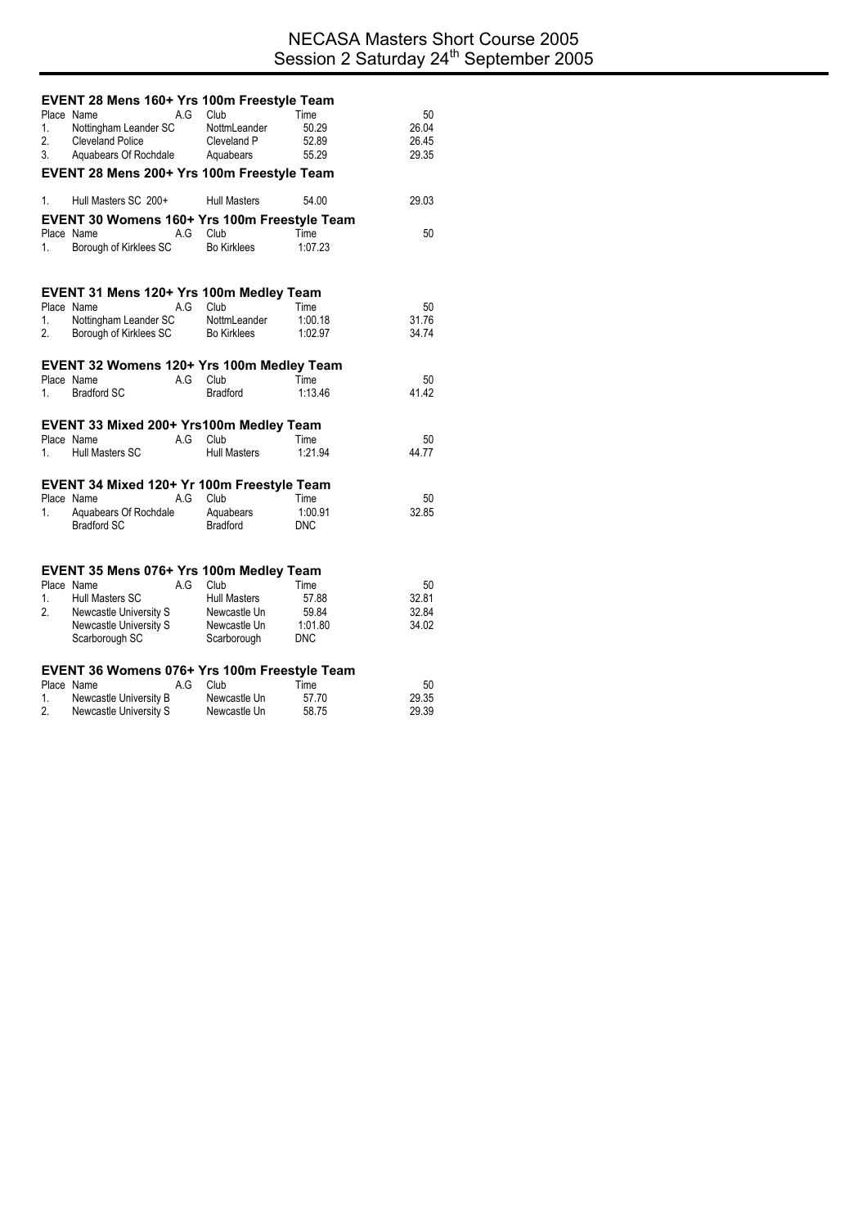|          | EVENT 28 Mens 160+ Yrs 100m Freestyle Team       |     |                          |                |                |
|----------|--------------------------------------------------|-----|--------------------------|----------------|----------------|
|          | Place Name                                       | A.G | Club                     | Time           | 50             |
| 1.       | Nottingham Leander SC                            |     | NottmLeander             | 50.29          | 26.04          |
| 2.<br>3. | <b>Cleveland Police</b><br>Aquabears Of Rochdale |     | Cleveland P<br>Aquabears | 52.89<br>55.29 | 26.45<br>29.35 |
|          |                                                  |     |                          |                |                |
|          | EVENT 28 Mens 200+ Yrs 100m Freestyle Team       |     |                          |                |                |
| 1.       | Hull Masters SC 200+                             |     | <b>Hull Masters</b>      | 54.00          | 29.03          |
|          | EVENT 30 Womens 160+ Yrs 100m Freestyle Team     |     |                          |                |                |
|          | Place Name                                       | A.G | Club                     | Time           | 50             |
| 1.       | Borough of Kirklees SC                           |     | <b>Bo Kirklees</b>       | 1:07.23        |                |
|          |                                                  |     |                          |                |                |
|          | EVENT 31 Mens 120+ Yrs 100m Medley Team          |     |                          |                |                |
|          | Place Name                                       | A.G | Club                     | Time           | 50             |
| 1.       | Nottingham Leander SC                            |     | NottmLeander             | 1:00.18        | 31.76          |
| 2.       | Borough of Kirklees SC                           |     | Bo Kirklees              | 1:02.97        | 34.74          |
|          | EVENT 32 Womens 120+ Yrs 100m Medley Team        |     |                          |                |                |
|          | Place Name                                       | A.G | Club                     | Time           | 50             |
| 1.       | <b>Bradford SC</b>                               |     | <b>Bradford</b>          | 1:13.46        | 41.42          |
|          |                                                  |     |                          |                |                |
|          | EVENT 33 Mixed 200+ Yrs100m Medley Team          |     |                          |                |                |
|          | Place Name                                       | A.G | Club                     | Time           | 50             |
| 1.       | Hull Masters SC                                  |     | <b>Hull Masters</b>      | 1:21.94        | 44.77          |
|          | EVENT 34 Mixed 120+ Yr 100m Freestyle Team       |     |                          |                |                |
|          | Place Name                                       | A.G | Club                     | Time           | 50             |
| 1.       | Aquabears Of Rochdale                            |     | Aquabears                | 1:00.91        | 32.85          |
|          | <b>Bradford SC</b>                               |     | <b>Bradford</b>          | <b>DNC</b>     |                |
|          |                                                  |     |                          |                |                |
|          | EVENT 35 Mens 076+ Yrs 100m Medley Team          |     |                          |                |                |
|          | Place Name                                       | A.G | Club                     | Time           | 50             |
| 1.       | <b>Hull Masters SC</b>                           |     | <b>Hull Masters</b>      | 57.88          | 32.81          |
| 2.       | Newcastle University S                           |     | Newcastle Un             | 59.84          | 32.84          |
|          | Newcastle University S                           |     | Newcastle Un             | 1:01.80        | 34.02          |
|          | Scarborough SC                                   |     | Scarborough              | <b>DNC</b>     |                |
|          | EVENT 36 Womens 076+ Yrs 100m Freestyle Team     |     |                          |                |                |
|          | Place Name                                       | A.G | Club                     | Time           | 50             |

1. Newcastle University B Newcastle Un 57.70 29.35 2. Newcastle University S Newcastle Un 58.75 29.39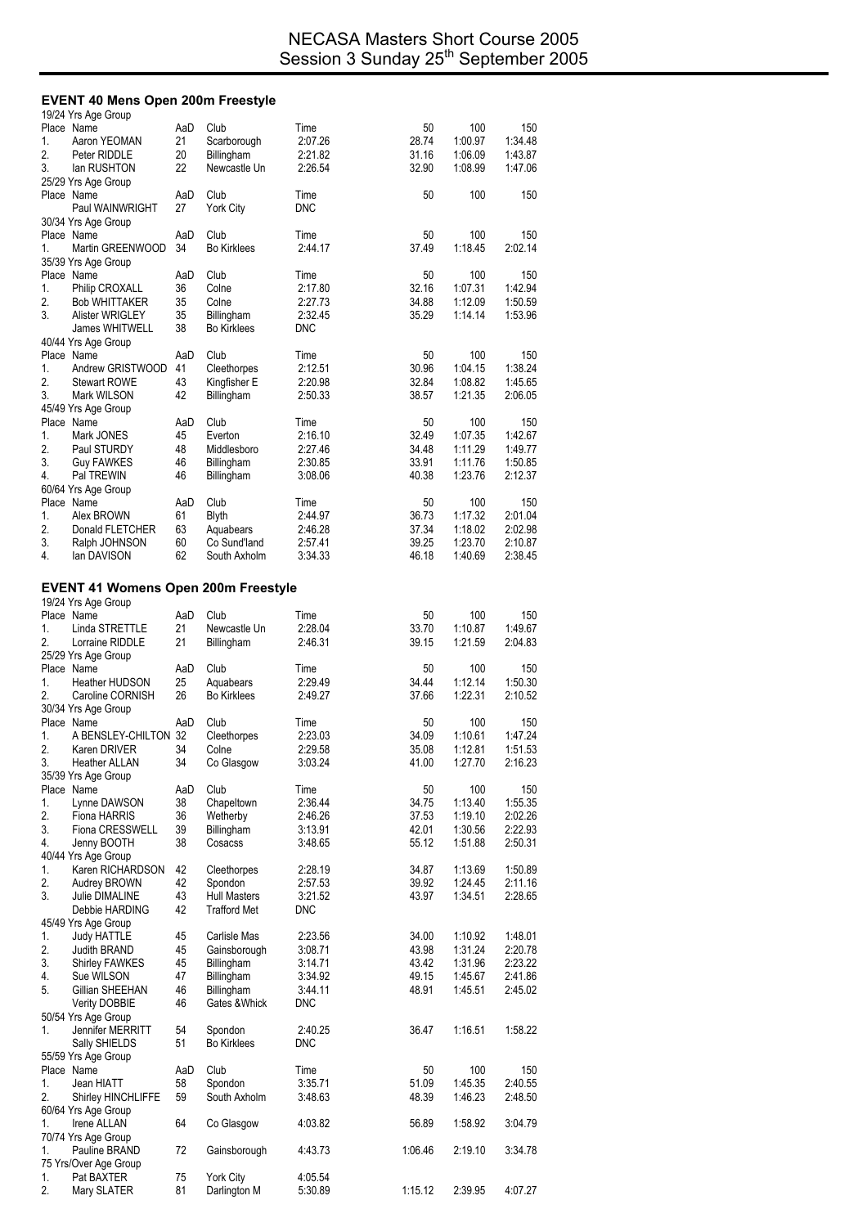#### **EVENT 40 Mens Open 200m Freestyle**

| 100<br>1:00.97<br>1:06.09<br>1:08.99<br>100<br>100<br>1:18.45<br>100<br>1:07.31<br>1:12.09<br>1:14.14<br>100<br>1:04.15<br>1:08.82<br>1:21.35<br>100 | 150<br>1:34.48<br>1:43.87<br>1:47.06<br>150<br>150<br>2:02.14<br>150<br>1:42.94<br>1:50.59<br>1:53.96<br>150<br>1:38.24<br>1:45.65<br>2:06.05 |
|------------------------------------------------------------------------------------------------------------------------------------------------------|-----------------------------------------------------------------------------------------------------------------------------------------------|
|                                                                                                                                                      |                                                                                                                                               |
|                                                                                                                                                      |                                                                                                                                               |
|                                                                                                                                                      |                                                                                                                                               |
|                                                                                                                                                      |                                                                                                                                               |
|                                                                                                                                                      |                                                                                                                                               |
|                                                                                                                                                      |                                                                                                                                               |
|                                                                                                                                                      |                                                                                                                                               |
|                                                                                                                                                      |                                                                                                                                               |
|                                                                                                                                                      |                                                                                                                                               |
|                                                                                                                                                      |                                                                                                                                               |
|                                                                                                                                                      |                                                                                                                                               |
|                                                                                                                                                      |                                                                                                                                               |
|                                                                                                                                                      |                                                                                                                                               |
|                                                                                                                                                      |                                                                                                                                               |
|                                                                                                                                                      |                                                                                                                                               |
|                                                                                                                                                      |                                                                                                                                               |
|                                                                                                                                                      |                                                                                                                                               |
|                                                                                                                                                      |                                                                                                                                               |
|                                                                                                                                                      |                                                                                                                                               |
|                                                                                                                                                      |                                                                                                                                               |
|                                                                                                                                                      |                                                                                                                                               |
|                                                                                                                                                      |                                                                                                                                               |
|                                                                                                                                                      | 150                                                                                                                                           |
| 1:07.35<br>1:11.29                                                                                                                                   | 1:42.67                                                                                                                                       |
|                                                                                                                                                      | 1:49.77                                                                                                                                       |
| 1:11.76                                                                                                                                              | 1:50.85                                                                                                                                       |
|                                                                                                                                                      | 2:12.37                                                                                                                                       |
|                                                                                                                                                      |                                                                                                                                               |
|                                                                                                                                                      | 150                                                                                                                                           |
|                                                                                                                                                      | 2:01.04                                                                                                                                       |
|                                                                                                                                                      | 2:02.98                                                                                                                                       |
|                                                                                                                                                      | 2:10.87                                                                                                                                       |
|                                                                                                                                                      | 2:38.45                                                                                                                                       |
|                                                                                                                                                      |                                                                                                                                               |
|                                                                                                                                                      |                                                                                                                                               |
|                                                                                                                                                      |                                                                                                                                               |
| 100                                                                                                                                                  | 150                                                                                                                                           |
| 1:10.87                                                                                                                                              | 1:49.67                                                                                                                                       |
| 1:21.59                                                                                                                                              | 2:04.83                                                                                                                                       |
|                                                                                                                                                      |                                                                                                                                               |
| 100                                                                                                                                                  | 150                                                                                                                                           |
| 1:12.14                                                                                                                                              | 1:50.30                                                                                                                                       |
|                                                                                                                                                      | 2:10.52                                                                                                                                       |
|                                                                                                                                                      |                                                                                                                                               |
| 100                                                                                                                                                  | 150                                                                                                                                           |
| 1:10.61                                                                                                                                              | 1:47.24                                                                                                                                       |
| 1:12.81                                                                                                                                              | 1:51.53                                                                                                                                       |
| 1:27.70                                                                                                                                              |                                                                                                                                               |
|                                                                                                                                                      | 2:16.23                                                                                                                                       |
|                                                                                                                                                      |                                                                                                                                               |
| 100                                                                                                                                                  | 150                                                                                                                                           |
| 1:13.40                                                                                                                                              | 1:55.35                                                                                                                                       |
| 1:19.10                                                                                                                                              | 2:02.26                                                                                                                                       |
| 1:30.56                                                                                                                                              | 2:22.93                                                                                                                                       |
| 1:51.88                                                                                                                                              | 2:50.31                                                                                                                                       |
|                                                                                                                                                      |                                                                                                                                               |
| 1:13.69                                                                                                                                              | 1:50.89                                                                                                                                       |
| 1:24.45                                                                                                                                              | 2:11.16                                                                                                                                       |
| 1:34.51                                                                                                                                              | 2:28.65                                                                                                                                       |
|                                                                                                                                                      |                                                                                                                                               |
|                                                                                                                                                      |                                                                                                                                               |
| 1:10.92                                                                                                                                              | 1:48.01                                                                                                                                       |
| 1:31.24                                                                                                                                              | 2:20.78                                                                                                                                       |
| 1:31.96                                                                                                                                              | 2:23.22                                                                                                                                       |
| 1:45.67                                                                                                                                              | 2:41.86                                                                                                                                       |
| 1:45.51                                                                                                                                              | 2:45.02                                                                                                                                       |
|                                                                                                                                                      |                                                                                                                                               |
|                                                                                                                                                      |                                                                                                                                               |
| 1:16.51                                                                                                                                              | 1:58.22                                                                                                                                       |
|                                                                                                                                                      |                                                                                                                                               |
|                                                                                                                                                      |                                                                                                                                               |
| 100                                                                                                                                                  |                                                                                                                                               |
| 1:45.35                                                                                                                                              | 150<br>2:40.55                                                                                                                                |
| 1:46.23                                                                                                                                              |                                                                                                                                               |
|                                                                                                                                                      | 2:48.50                                                                                                                                       |
| 1:58.92                                                                                                                                              | 3:04.79                                                                                                                                       |
|                                                                                                                                                      |                                                                                                                                               |
| 2:19.10                                                                                                                                              | 3:34.78                                                                                                                                       |
|                                                                                                                                                      |                                                                                                                                               |
|                                                                                                                                                      |                                                                                                                                               |
|                                                                                                                                                      | 1:23.76<br>100<br>1:17.32<br>1:18.02<br>1:23.70<br>1:40.69<br>1:22.31                                                                         |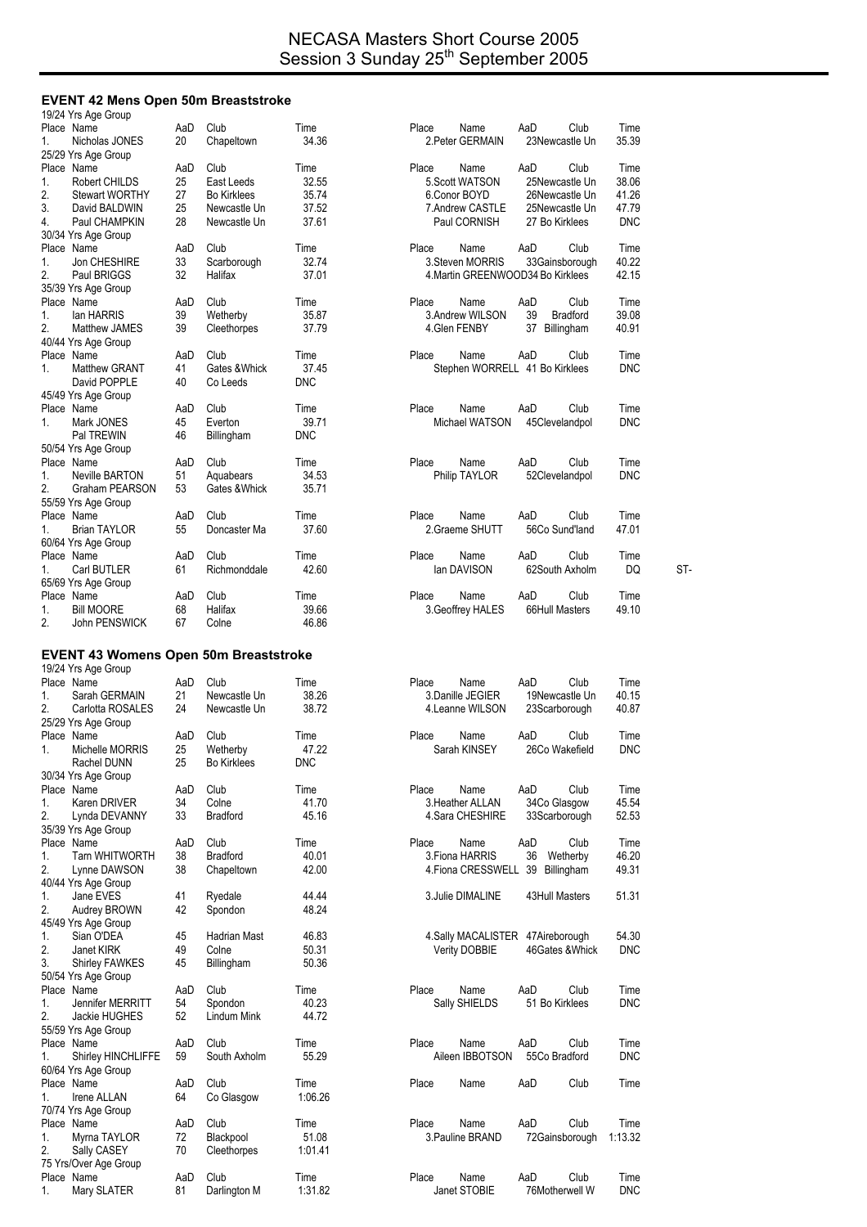#### **EVENT 42 Mens Open 50m Breaststroke**

| 19/24 Yrs Age Group                          |           |                      |                 |                                                                |                    |
|----------------------------------------------|-----------|----------------------|-----------------|----------------------------------------------------------------|--------------------|
| Place Name                                   | AaD       | Club                 | Time            | Place<br>Name<br>AaD<br>Club                                   | Time               |
| Nicholas JONES<br>1.                         | 20        | Chapeltown           | 34.36           | 2. Peter GERMAIN<br>23Newcastle Un                             | 35.39              |
| 25/29 Yrs Age Group<br>Place Name            | AaD       | Club                 | Time            | AaD<br>Club<br>Place<br>Name                                   | Time               |
| Robert CHILDS<br>1.                          | 25        | East Leeds           | 32.55           | 5. Scott WATSON<br>25Newcastle Un                              | 38.06              |
| 2.<br><b>Stewart WORTHY</b>                  | 27        | <b>Bo Kirklees</b>   | 35.74           | 6.Conor BOYD<br>26Newcastle Un                                 | 41.26              |
| 3.<br>David BALDWIN                          | 25        | Newcastle Un         | 37.52           | 7. Andrew CASTLE<br>25Newcastle Un                             | 47.79              |
| 4.<br>Paul CHAMPKIN                          | 28        | Newcastle Un         | 37.61           | Paul CORNISH<br>27 Bo Kirklees                                 | <b>DNC</b>         |
| 30/34 Yrs Age Group                          |           |                      |                 |                                                                |                    |
| Place Name                                   | AaD       | Club                 | Time            | AaD<br>Place<br>Name<br>Club                                   | Time               |
| Jon CHESHIRE<br>1.                           | 33        | Scarborough          | 32.74           | 3. Steven MORRIS<br>33Gainsborough                             | 40.22              |
| 2.<br>Paul BRIGGS                            | 32        | Halifax              | 37.01           | 4. Martin GREENWOOD34 Bo Kirklees                              | 42.15              |
| 35/39 Yrs Age Group                          |           |                      |                 |                                                                |                    |
| Place Name                                   | AaD       | Club                 | Time            | Place<br>Name<br>AaD<br>Club                                   | Time               |
| 1.<br>lan HARRIS                             | 39        | Wetherby             | 35.87           | 39<br>3.Andrew WILSON<br><b>Bradford</b>                       | 39.08              |
| 2.<br>Matthew JAMES                          | 39        | Cleethorpes          | 37.79           | 4. Glen FENBY<br>37<br>Billingham                              | 40.91              |
| 40/44 Yrs Age Group                          |           |                      |                 |                                                                |                    |
| Place Name                                   | AaD       | Club                 | Time            | Place<br>Name<br>AaD<br>Club                                   | Time               |
| <b>Matthew GRANT</b><br>1.                   | 41        | Gates & Whick        | 37.45           | Stephen WORRELL 41 Bo Kirklees                                 | <b>DNC</b>         |
| David POPPLE                                 | 40        | Co Leeds             | <b>DNC</b>      |                                                                |                    |
| 45/49 Yrs Age Group                          |           |                      |                 |                                                                |                    |
| Place Name                                   | AaD       | Club                 | Time            | Club<br>Place<br>Name<br>AaD                                   | Time               |
| 1.<br>Mark JONES                             | 45        | Everton              | 39.71           | Michael WATSON<br>45Clevelandpol                               | DNC                |
| Pal TREWIN                                   | 46        | Billingham           | DNC             |                                                                |                    |
| 50/54 Yrs Age Group                          |           |                      |                 |                                                                |                    |
| Place Name                                   | AaD       | Club                 | Time            | AaD<br>Club<br>Place<br>Name                                   | Time               |
| 1.<br>Neville BARTON                         | 51        | Aquabears            | 34.53           | Philip TAYLOR<br>52Clevelandpol                                | <b>DNC</b>         |
| 2.<br>Graham PEARSON                         | 53        | Gates & Whick        | 35.71           |                                                                |                    |
| 55/59 Yrs Age Group                          |           |                      |                 |                                                                |                    |
| Place Name                                   | AaD       | Club                 | Time            | AaD<br>Club<br>Place<br>Name                                   | Time               |
| Brian TAYLOR<br>1.                           | 55        | Doncaster Ma         | 37.60           | 56Co Sund'land<br>2.Graeme SHUTT                               | 47.01              |
| 60/64 Yrs Age Group                          |           |                      |                 |                                                                |                    |
| Place Name                                   | AaD       | Club                 | Time            | Place<br>Name<br>AaD<br>Club                                   | Time               |
| Carl BUTLER<br>1.                            | 61        | Richmonddale         | 42.60           | lan DAVISON<br>62South Axholm                                  | DQ<br>ST-          |
| 65/69 Yrs Age Group                          |           |                      |                 |                                                                |                    |
| Place Name                                   | AaD       | Club                 | Time            | AaD<br>Club<br>Place<br>Name                                   | Time               |
| <b>Bill MOORE</b><br>1.                      | 68        | Halifax              | 39.66           | 3. Geoffrey HALES<br>66Hull Masters                            | 49.10              |
| 2.<br>John PENSWICK                          | 67        | Colne                | 46.86           |                                                                |                    |
|                                              |           |                      |                 |                                                                |                    |
|                                              |           |                      |                 |                                                                |                    |
| <b>EVENT 43 Womens Open 50m Breaststroke</b> |           |                      |                 |                                                                |                    |
| 19/24 Yrs Age Group                          |           |                      |                 |                                                                |                    |
| Place Name                                   | AaD       | Club                 | Time            | Place<br>Name<br>AaD<br>Club                                   | Time               |
| 1.<br>Sarah GERMAIN                          | 21        | Newcastle Un         | 38.26           | 3.Danille JEGIER<br>19Newcastle Un                             | 40.15              |
| 2.<br>Carlotta ROSALES                       | 24        | Newcastle Un         | 38.72           | 4. Leanne WILSON<br>23Scarborough                              | 40.87              |
| 25/29 Yrs Age Group                          |           |                      |                 |                                                                |                    |
| Place Name                                   | AaD       | Club                 | Time            | Place<br>AaD<br>Club<br>Name                                   | Time               |
| Michelle MORRIS<br>1.                        | 25        | Wetherby             | 47.22           | 26Co Wakefield<br>Sarah KINSEY                                 | <b>DNC</b>         |
| Rachel DUNN                                  | 25        | <b>Bo Kirklees</b>   | <b>DNC</b>      |                                                                |                    |
| 30/34 Yrs Age Group                          |           |                      |                 |                                                                |                    |
| Place Name                                   | AaD       | Club                 | Time            | Place<br>AaD<br>Club<br>Name                                   | Time               |
| Karen DRIVER<br>1.                           | 34        | Colne                | 41.70           | 34Co Glasgow<br>3. Heather ALLAN                               | 45.54              |
| 2.<br>Lynda DEVANNY                          | 33        | Bradford             | 45.16           | 4. Sara CHESHIRE<br>33Scarborough                              | 52.53              |
| 35/39 Yrs Age Group                          |           |                      |                 |                                                                |                    |
| Place Name                                   | AaD       | Club                 | Time            | Place<br>AaD<br>Club<br>Name                                   | Time               |
| <b>Tarn WHITWORTH</b><br>1.                  | 38        | <b>Bradford</b>      | 40.01           | 3. Fiona HARRIS<br>36<br>Wetherby                              | 46.20              |
| 2.<br>Lynne DAWSON                           | 38        | Chapeltown           | 42.00           | 4. Fiona CRESSWELL 39<br>Billingham                            | 49.31              |
| 40/44 Yrs Age Group                          |           |                      |                 |                                                                |                    |
| Jane EVES<br>1.                              | 41        | Ryedale              | 44.44           | 43Hull Masters<br>3. Julie DIMALINE                            | 51.31              |
| 2.<br>Audrey BROWN                           | 42        | Spondon              | 48.24           |                                                                |                    |
| 45/49 Yrs Age Group                          |           |                      |                 |                                                                |                    |
| Sian O'DEA<br>1.                             | 45        | Hadrian Mast         | 46.83           | 4. Sally MACALISTER 47 Aireborough                             | 54.30              |
| 2.<br>Janet KIRK                             | 49        | Colne                | 50.31           | Verity DOBBIE<br>46Gates & Whick                               | <b>DNC</b>         |
| 3.<br><b>Shirley FAWKES</b>                  | 45        | Billingham           | 50.36           |                                                                |                    |
| 50/54 Yrs Age Group                          |           |                      |                 |                                                                |                    |
| Place Name                                   | AaD       | Club                 | Time            | Place<br>AaD<br>Club<br>Name                                   | Time               |
| 1.<br>Jennifer MERRITT                       | 54        | Spondon              | 40.23           | 51 Bo Kirklees<br>Sally SHIELDS                                | <b>DNC</b>         |
| 2.<br>Jackie HUGHES                          | 52        | Lindum Mink          | 44.72           |                                                                |                    |
| 55/59 Yrs Age Group                          |           |                      |                 |                                                                |                    |
| Place Name                                   | AaD       | Club                 | Time            | Place<br>AaD<br>Club<br>Name                                   | Time               |
| Shirley HINCHLIFFE<br>1.                     | 59        | South Axholm         | 55.29           | Aileen IBBOTSON<br>55Co Bradford                               | <b>DNC</b>         |
| 60/64 Yrs Age Group                          |           |                      |                 |                                                                |                    |
| Place Name                                   | AaD       | Club                 | Time            | AaD<br>Club<br>Place<br>Name                                   | Time               |
| Irene ALLAN<br>1.                            | 64        | Co Glasgow           | 1:06.26         |                                                                |                    |
| 70/74 Yrs Age Group                          |           |                      |                 |                                                                |                    |
| Place Name                                   | AaD       | Club                 | Time            | Club<br>Place<br>Name<br>AaD                                   | Time               |
| Myrna TAYLOR<br>1.                           | 72        | Blackpool            | 51.08           | 3. Pauline BRAND<br>1:13.32<br>72Gainsborough                  |                    |
| 2.<br>Sally CASEY                            | 70        | Cleethorpes          | 1:01.41         |                                                                |                    |
| 75 Yrs/Over Age Group                        |           |                      |                 |                                                                |                    |
| Place Name<br>Mary SLATER                    | AaD<br>81 | Club<br>Darlington M | Time<br>1:31.82 | Place<br>Name<br>AaD<br>Club<br>Janet STOBIE<br>76Motherwell W | Time<br><b>DNC</b> |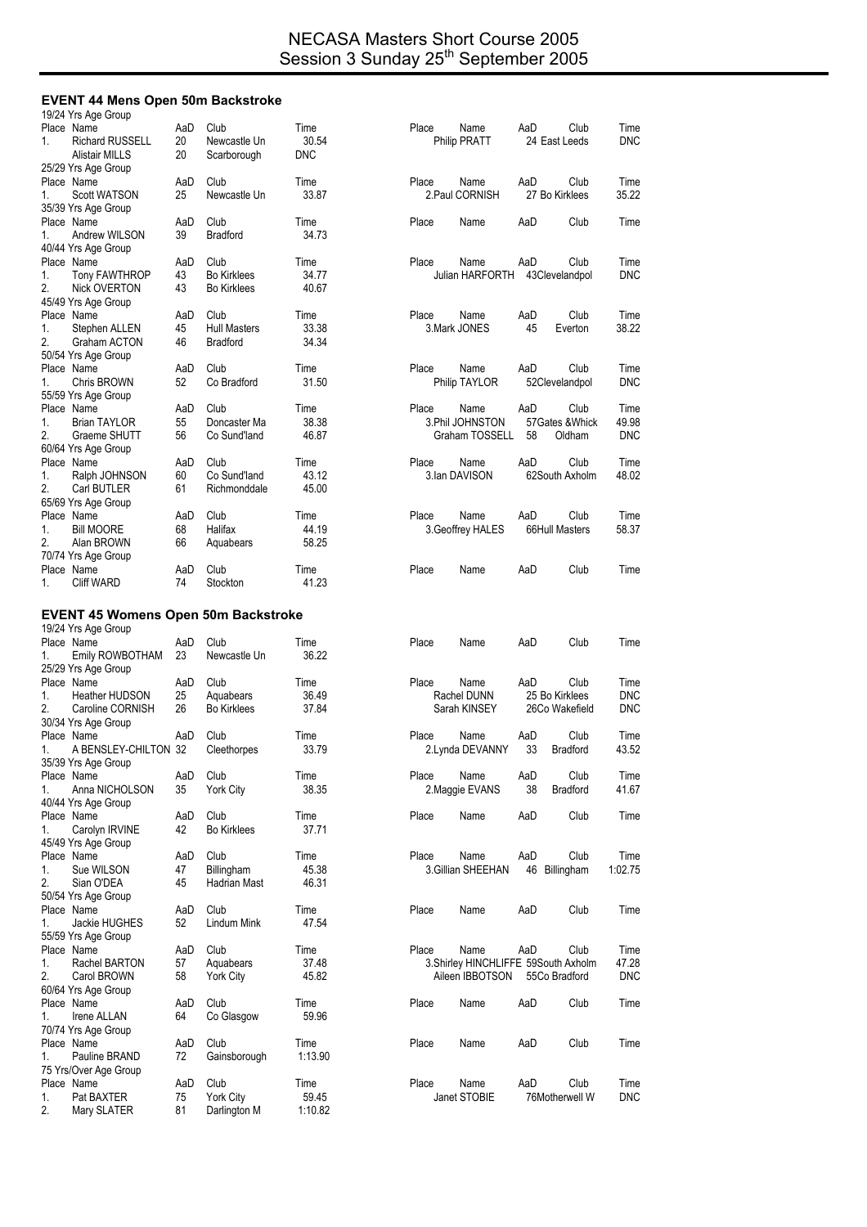# **EVENT 44 Mens Open 50m Backstroke**

|          | 19/24 Yrs Age Group                        |          |                           |                  |       |                                     |     |                  |            |
|----------|--------------------------------------------|----------|---------------------------|------------------|-------|-------------------------------------|-----|------------------|------------|
|          | Place Name                                 | AaD      | Club                      | Time             | Place | Name                                | AaD | Club             | Time       |
| 1.       | <b>Richard RUSSELL</b>                     | 20       | Newcastle Un              | 30.54            |       | Philip PRATT                        |     | 24 East Leeds    | <b>DNC</b> |
|          | <b>Alistair MILLS</b>                      | 20       | Scarborough               | <b>DNC</b>       |       |                                     |     |                  |            |
|          | 25/29 Yrs Age Group                        |          |                           |                  |       |                                     |     |                  |            |
|          | Place Name                                 | AaD      | Club                      | Time             | Place | Name                                | AaD | Club             | Time       |
| 1.       | <b>Scott WATSON</b>                        | 25       | Newcastle Un              | 33.87            |       | 2. Paul CORNISH                     |     | 27 Bo Kirklees   | 35.22      |
|          | 35/39 Yrs Age Group                        |          |                           |                  |       |                                     |     |                  |            |
|          | Place Name                                 | AaD      | Club                      | Time             | Place | Name                                | AaD | Club             | Time       |
| 1.       | <b>Andrew WILSON</b>                       | 39       | <b>Bradford</b>           | 34.73            |       |                                     |     |                  |            |
|          | 40/44 Yrs Age Group                        |          |                           |                  |       |                                     |     |                  |            |
|          | Place Name                                 | AaD      | Club                      | Time             | Place | Name                                | AaD | Club             | Time       |
| 1.       | <b>Tony FAWTHROP</b>                       | 43       | <b>Bo Kirklees</b>        | 34.77            |       | Julian HARFORTH 43Clevelandpol      |     |                  | <b>DNC</b> |
| 2.       | Nick OVERTON                               | 43       | <b>Bo Kirklees</b>        | 40.67            |       |                                     |     |                  |            |
|          | 45/49 Yrs Age Group                        |          |                           |                  |       |                                     |     |                  |            |
|          | Place Name                                 | AaD      | Club                      | Time             | Place | Name                                | AaD | Club             | Time       |
| 1.       | Stephen ALLEN                              | 45       | <b>Hull Masters</b>       | 33.38            |       | 3.Mark JONES                        | 45  | Everton          | 38.22      |
| 2.       | Graham ACTON                               | 46       | <b>Bradford</b>           | 34.34            |       |                                     |     |                  |            |
|          | 50/54 Yrs Age Group                        |          |                           |                  |       |                                     |     |                  |            |
|          | Place Name                                 | AaD      | Club                      | Time             | Place | Name                                | AaD | Club             | Time       |
| 1.       | Chris BROWN                                | 52       | Co Bradford               | 31.50            |       | Philip TAYLOR                       |     | 52Clevelandpol   | <b>DNC</b> |
|          | 55/59 Yrs Age Group                        |          |                           |                  |       |                                     |     |                  |            |
|          | Place Name                                 | AaD      | Club                      | Time             | Place | Name                                | AaD | Club             | Time       |
| 1.       | <b>Brian TAYLOR</b>                        | 55       | Doncaster Ma              | 38.38            |       | 3. Phil JOHNSTON                    |     | 57 Gates & Whick | 49.98      |
| 2.       | Graeme SHUTT                               | 56       | Co Sund'land              | 46.87            |       | Graham TOSSELL                      | 58  | Oldham           | <b>DNC</b> |
|          | 60/64 Yrs Age Group                        |          |                           |                  |       |                                     |     |                  |            |
|          | Place Name                                 | AaD      | Club                      | Time             | Place | Name                                | AaD | Club             | Time       |
| 1.       | Ralph JOHNSON                              | 60       | Co Sund'land              | 43.12            |       | 3. Ian DAVISON                      |     | 62South Axholm   | 48.02      |
| 2.       | Carl BUTLER                                | 61       | Richmonddale              | 45.00            |       |                                     |     |                  |            |
|          | 65/69 Yrs Age Group                        |          |                           |                  |       |                                     |     |                  |            |
|          | Place Name                                 | AaD      | Club                      | Time             | Place | Name                                | AaD | Club             | Time       |
| 1.       | <b>Bill MOORE</b>                          | 68       | Halifax                   | 44.19            |       | 3. Geoffrey HALES                   |     | 66Hull Masters   | 58.37      |
| 2.       | Alan BROWN                                 | 66       | Aquabears                 | 58.25            |       |                                     |     |                  |            |
|          | 70/74 Yrs Age Group                        |          |                           |                  |       |                                     |     |                  |            |
|          | Place Name                                 | AaD      | Club                      | Time             | Place | Name                                | AaD | Club             | Time       |
| 1.       | <b>Cliff WARD</b>                          | 74       | Stockton                  | 41.23            |       |                                     |     |                  |            |
|          |                                            |          |                           |                  |       |                                     |     |                  |            |
|          |                                            |          |                           |                  |       |                                     |     |                  |            |
|          | <b>EVENT 45 Womens Open 50m Backstroke</b> |          |                           |                  |       |                                     |     |                  |            |
|          | 19/24 Yrs Age Group                        |          |                           |                  |       |                                     |     |                  |            |
|          | Place Name                                 | AaD      | Club                      | Time             | Place | Name                                | AaD | Club             | Time       |
| 1.       | Emily ROWBOTHAM                            | 23       | Newcastle Un              | 36.22            |       |                                     |     |                  |            |
|          | 25/29 Yrs Age Group                        |          |                           |                  |       |                                     |     |                  |            |
|          | Place Name                                 | AaD      | Club                      | Time             | Place | Name                                | AaD | Club             | Time       |
| 1.       | <b>Heather HUDSON</b>                      | 25       | Aquabears                 | 36.49            |       | Rachel DUNN                         |     | 25 Bo Kirklees   | <b>DNC</b> |
| 2.       | Caroline CORNISH                           | 26       | <b>Bo Kirklees</b>        | 37.84            |       | Sarah KINSEY                        |     | 26Co Wakefield   | <b>DNC</b> |
|          | 30/34 Yrs Age Group                        |          |                           |                  |       |                                     |     |                  |            |
|          | Place Name                                 | AaD      | Club                      | Time             | Place | Name                                | AaD | Club             | Time       |
| 1.       | A BENSLEY-CHILTON 32                       |          | Cleethorpes               | 33.79            |       | 2. Lynda DEVANNY                    | 33  | <b>Bradford</b>  | 43.52      |
|          | 35/39 Yrs Age Group                        |          |                           |                  |       |                                     |     |                  |            |
|          | Place Name                                 | AaD      | Club                      | Time             | Place | Name                                | AaD | Club             | Time       |
| 1.       | Anna NICHOLSON                             | 35       | York City                 | 38.35            |       | 2. Maggie EVANS                     | 38  | <b>Bradford</b>  | 41.67      |
|          | 40/44 Yrs Age Group                        |          |                           |                  |       |                                     |     |                  |            |
|          | Place Name                                 | AaD      | Club                      | Time             | Place | Name                                | AaD | Club             | Time       |
| 1.       | Carolyn IRVINE                             | 42       | <b>Bo Kirklees</b>        | 37.71            |       |                                     |     |                  |            |
|          | 45/49 Yrs Age Group                        |          |                           |                  |       |                                     |     |                  |            |
|          | Place Name                                 | AaD      | Club                      | Time             | Place | Name                                | AaD | Club             | Time       |
| 1.       | Sue WILSON                                 | 47       | Billingham                | 45.38            |       | 3. Gillian SHEEHAN                  |     | 46 Billingham    | 1:02.75    |
| 2.       | Sian O'DEA                                 | 45       | Hadrian Mast              | 46.31            |       |                                     |     |                  |            |
|          | 50/54 Yrs Age Group                        |          |                           |                  |       |                                     |     |                  |            |
|          | Place Name                                 | AaD      | Club                      | Time             | Place | Name                                | AaD | Club             | Time       |
| 1.       | Jackie HUGHES                              | 52       | Lindum Mink               | 47.54            |       |                                     |     |                  |            |
|          | 55/59 Yrs Age Group                        |          |                           |                  |       |                                     |     |                  |            |
|          | Place Name                                 | AaD      | Club                      | Time             | Place | Name                                | AaD | Club             | Time       |
| 1.       | Rachel BARTON                              | 57       | Aquabears                 | 37.48            |       | 3.Shirley HINCHLIFFE 59South Axholm |     |                  | 47.28      |
| 2.       | Carol BROWN                                | 58       | York City                 | 45.82            |       | Aileen IBBOTSON                     |     | 55Co Bradford    | <b>DNC</b> |
|          | 60/64 Yrs Age Group                        |          |                           |                  |       |                                     |     |                  |            |
|          | Place Name                                 | AaD      | Club                      | Time             | Place | Name                                | AaD | Club             | Time       |
| 1.       | Irene ALLAN                                | 64       | Co Glasgow                | 59.96            |       |                                     |     |                  |            |
|          | 70/74 Yrs Age Group                        |          |                           |                  |       |                                     |     |                  |            |
|          | Place Name                                 | AaD      | Club                      | Time             | Place | Name                                | AaD | Club             | Time       |
| 1.       | Pauline BRAND                              | 72       | Gainsborough              | 1:13.90          |       |                                     |     |                  |            |
|          | 75 Yrs/Over Age Group                      |          |                           |                  |       |                                     |     |                  |            |
|          | Place Name                                 | AaD      | Club                      | Time             | Place | Name                                | AaD | Club             | Time       |
| 1.<br>2. | Pat BAXTER<br>Mary SLATER                  | 75<br>81 | York City<br>Darlington M | 59.45<br>1:10.82 |       | Janet STOBIE                        |     | 76Motherwell W   | <b>DNC</b> |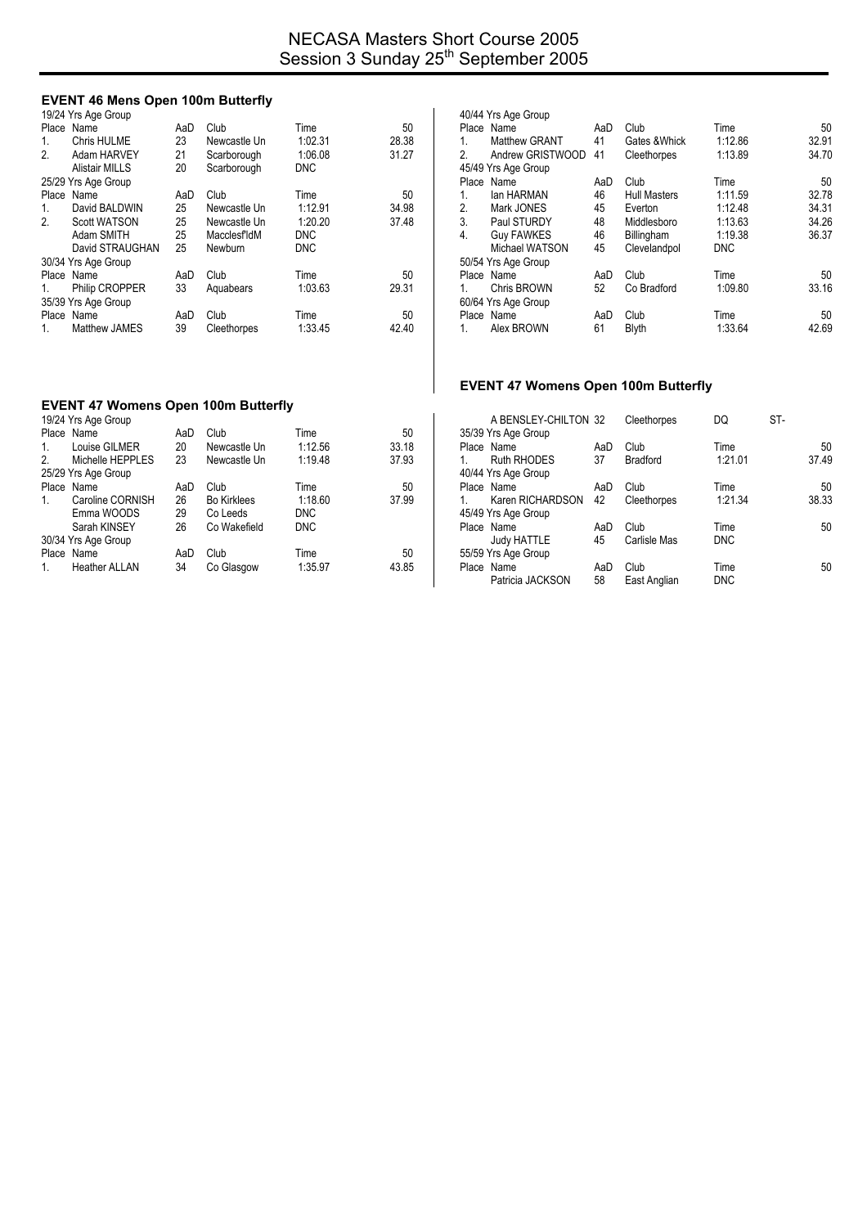## **EVENT 46 Mens Open 100m Butterfly**

|             | 19/24 Yrs Age Group   |     |              |            |       |
|-------------|-----------------------|-----|--------------|------------|-------|
|             | Place Name            | AaD | Club         | Time       | 50    |
| 1.          | Chris HULME           | 23  | Newcastle Un | 1:02.31    | 28.38 |
| 2.          | Adam HARVEY           | 21  | Scarborough  | 1:06.08    | 31.27 |
|             | <b>Alistair MILLS</b> | 20  | Scarborough  | <b>DNC</b> |       |
|             | 25/29 Yrs Age Group   |     |              |            |       |
| Place       | Name                  | AaD | Club         | Time       | 50    |
| $1_{\cdot}$ | David BALDWIN         | 25  | Newcastle Un | 1:12.91    | 34.98 |
| 2.          | Scott WATSON          | 25  | Newcastle Un | 1:20.20    | 37.48 |
|             | Adam SMITH            | 25  | MacclesfldM  | <b>DNC</b> |       |
|             | David STRAUGHAN       | 25  | Newburn      | <b>DNC</b> |       |
|             | 30/34 Yrs Age Group   |     |              |            |       |
|             | Place Name            | AaD | Club         | Time       | 50    |
| 1.          | Philip CROPPER        | 33  | Aquabears    | 1:03.63    | 29.31 |
|             | 35/39 Yrs Age Group   |     |              |            |       |
|             | Place Name            | AaD | Club         | Time       | 50    |
| 1.          | <b>Matthew JAMES</b>  | 39  | Cleethorpes  | 1:33.45    | 42.40 |

| 40/44 Yrs Age Group |                     |     |                     |            |       |  |  |
|---------------------|---------------------|-----|---------------------|------------|-------|--|--|
|                     | Place Name          | AaD | Club                | Time       | 50    |  |  |
| 1.                  | Matthew GRANT       | 41  | Gates & Whick       | 1:12.86    | 32.91 |  |  |
| 2                   | Andrew GRISTWOOD    | 41  | Cleethorpes         | 1:13.89    | 34.70 |  |  |
|                     | 45/49 Yrs Age Group |     |                     |            |       |  |  |
|                     | Place Name          | AaD | Club                | Time       | 50    |  |  |
| 1.                  | lan HARMAN          | 46  | <b>Hull Masters</b> | 1:11.59    | 32.78 |  |  |
| 2.                  | Mark JONES          | 45  | Everton             | 1:12.48    | 34.31 |  |  |
| 3.                  | Paul STURDY         | 48  | Middlesboro         | 1:13.63    | 34.26 |  |  |
| 4.                  | <b>Guy FAWKES</b>   | 46  | Billingham          | 1:19.38    | 36.37 |  |  |
|                     | Michael WATSON      | 45  | Clevelandpol        | <b>DNC</b> |       |  |  |
|                     | 50/54 Yrs Age Group |     |                     |            |       |  |  |
|                     | Place Name          | AaD | Club                | Time       | 50    |  |  |
| 1.                  | <b>Chris BROWN</b>  | 52  | Co Bradford         | 1:09.80    | 33.16 |  |  |
|                     | 60/64 Yrs Age Group |     |                     |            |       |  |  |
|                     | Place Name          | AaD | Club                | Time       | 50    |  |  |
| 1.                  | Alex BROWN          | 61  | <b>Blyth</b>        | 1:33.64    | 42.69 |  |  |
|                     |                     |     |                     |            |       |  |  |

# **EVENT 47 Womens Open 100m Butterfly**

#### **EVENT 47 Womens Open 100m Butterfly**  19/24 Yrs Age Group

|                | $.97 - .07 - .09 - .009$ |     |                    |            |       |
|----------------|--------------------------|-----|--------------------|------------|-------|
|                | Place Name               | AaD | Club               | Time       | 50    |
| 1.             | Louise GILMER            | 20  | Newcastle Un       | 1:12.56    | 33.18 |
| $\mathfrak{p}$ | Michelle HEPPLES         | 23  | Newcastle Un       | 1:19.48    | 37.93 |
|                | 25/29 Yrs Age Group      |     |                    |            |       |
|                | Place Name               | AaD | Club               | Time       | 50    |
| 1.             | Caroline CORNISH         | 26  | <b>Bo Kirklees</b> | 1:18.60    | 37.99 |
|                | Emma WOODS               | 29  | Co Leeds           | <b>DNC</b> |       |
|                | Sarah KINSEY             | 26  | Co Wakefield       | <b>DNC</b> |       |
|                | 30/34 Yrs Age Group      |     |                    |            |       |
|                | Place Name               | AaD | Club               | Time       | 50    |
|                | <b>Heather ALLAN</b>     | 34  | Co Glasgow         | 1:35.97    | 43.85 |
|                |                          |     |                    |            |       |

|         | A BENSLEY-CHILTON 32 |     | Cleethorpes     | DQ         | ST-   |
|---------|----------------------|-----|-----------------|------------|-------|
|         | 35/39 Yrs Age Group  |     |                 |            |       |
|         | Place Name           | AaD | Club            | Time       | 50    |
| 1       | <b>Ruth RHODES</b>   | 37  | <b>Bradford</b> | 1:21.01    | 37.49 |
|         | 40/44 Yrs Age Group  |     |                 |            |       |
|         | Place Name           | AaD | Club            | Time       | 50    |
| $1_{-}$ | Karen RICHARDSON     | 42  | Cleethorpes     | 1.21.34    | 38.33 |
|         | 45/49 Yrs Age Group  |     |                 |            |       |
|         | Place Name           | AaD | Club            | Time       | 50    |
|         | <b>Judy HATTLE</b>   | 45  | Carlisle Mas    | <b>DNC</b> |       |
|         | 55/59 Yrs Age Group  |     |                 |            |       |
|         | Place Name           | AaD | Club            | Time       | 50    |
|         | Patricia JACKSON     | 58  | East Anglian    | <b>DNC</b> |       |